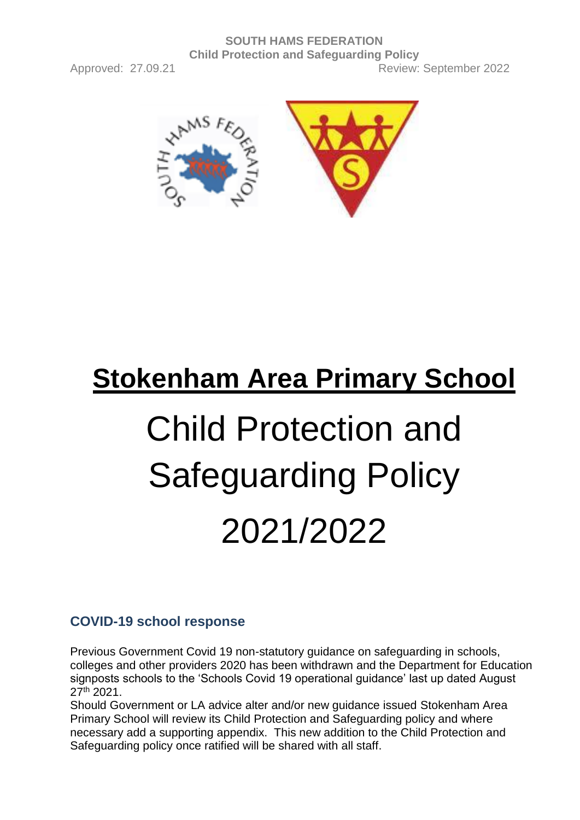

# **Stokenham Area Primary School** Child Protection and Safeguarding Policy 2021/2022

## **COVID-19 school response**

Previous Government Covid 19 non-statutory guidance on safeguarding in schools, colleges and other providers 2020 has been withdrawn and the Department for Education signposts schools to the 'Schools Covid 19 operational guidance' last up dated August 27th 2021.

Should Government or LA advice alter and/or new guidance issued Stokenham Area Primary School will review its Child Protection and Safeguarding policy and where necessary add a supporting appendix. This new addition to the Child Protection and Safeguarding policy once ratified will be shared with all staff.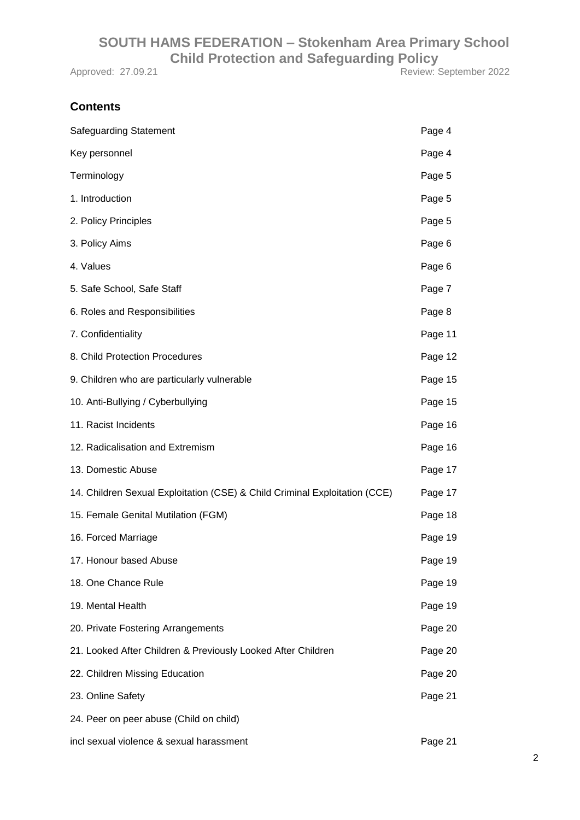Approved: 27.09.21 Review: September 2022

## **Contents**

| <b>Safeguarding Statement</b>                                              | Page 4  |
|----------------------------------------------------------------------------|---------|
| Key personnel                                                              | Page 4  |
| Terminology                                                                | Page 5  |
| 1. Introduction                                                            | Page 5  |
| 2. Policy Principles                                                       | Page 5  |
| 3. Policy Aims                                                             | Page 6  |
| 4. Values                                                                  | Page 6  |
| 5. Safe School, Safe Staff                                                 | Page 7  |
| 6. Roles and Responsibilities                                              | Page 8  |
| 7. Confidentiality                                                         | Page 11 |
| 8. Child Protection Procedures                                             | Page 12 |
| 9. Children who are particularly vulnerable                                | Page 15 |
| 10. Anti-Bullying / Cyberbullying                                          | Page 15 |
| 11. Racist Incidents                                                       | Page 16 |
| 12. Radicalisation and Extremism                                           | Page 16 |
| 13. Domestic Abuse                                                         | Page 17 |
| 14. Children Sexual Exploitation (CSE) & Child Criminal Exploitation (CCE) | Page 17 |
| 15. Female Genital Mutilation (FGM)                                        | Page 18 |
| 16. Forced Marriage                                                        | Page 19 |
| 17. Honour based Abuse                                                     | Page 19 |
| 18. One Chance Rule                                                        | Page 19 |
| 19. Mental Health                                                          | Page 19 |
| 20. Private Fostering Arrangements                                         | Page 20 |
| 21. Looked After Children & Previously Looked After Children               | Page 20 |
| 22. Children Missing Education                                             | Page 20 |
| 23. Online Safety                                                          | Page 21 |
| 24. Peer on peer abuse (Child on child)                                    |         |
| incl sexual violence & sexual harassment                                   | Page 21 |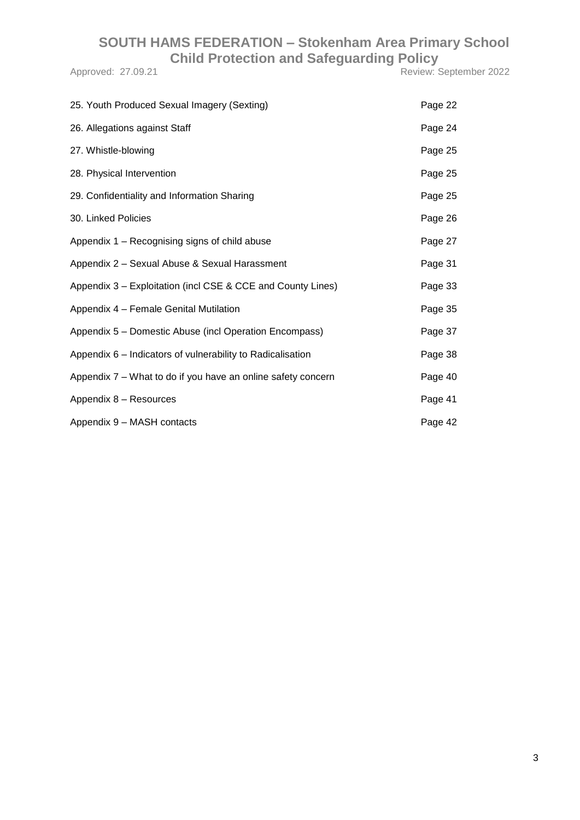Approved: 27.09.21 Review: September 2022

| 25. Youth Produced Sexual Imagery (Sexting)                  | Page 22 |
|--------------------------------------------------------------|---------|
| 26. Allegations against Staff                                | Page 24 |
| 27. Whistle-blowing                                          | Page 25 |
| 28. Physical Intervention                                    | Page 25 |
| 29. Confidentiality and Information Sharing                  | Page 25 |
| 30. Linked Policies                                          | Page 26 |
| Appendix 1 - Recognising signs of child abuse                | Page 27 |
| Appendix 2 - Sexual Abuse & Sexual Harassment                | Page 31 |
| Appendix 3 – Exploitation (incl CSE & CCE and County Lines)  | Page 33 |
| Appendix 4 - Female Genital Mutilation                       | Page 35 |
| Appendix 5 - Domestic Abuse (incl Operation Encompass)       | Page 37 |
| Appendix 6 - Indicators of vulnerability to Radicalisation   | Page 38 |
| Appendix 7 – What to do if you have an online safety concern | Page 40 |
| Appendix 8 - Resources                                       | Page 41 |
| Appendix 9 - MASH contacts                                   | Page 42 |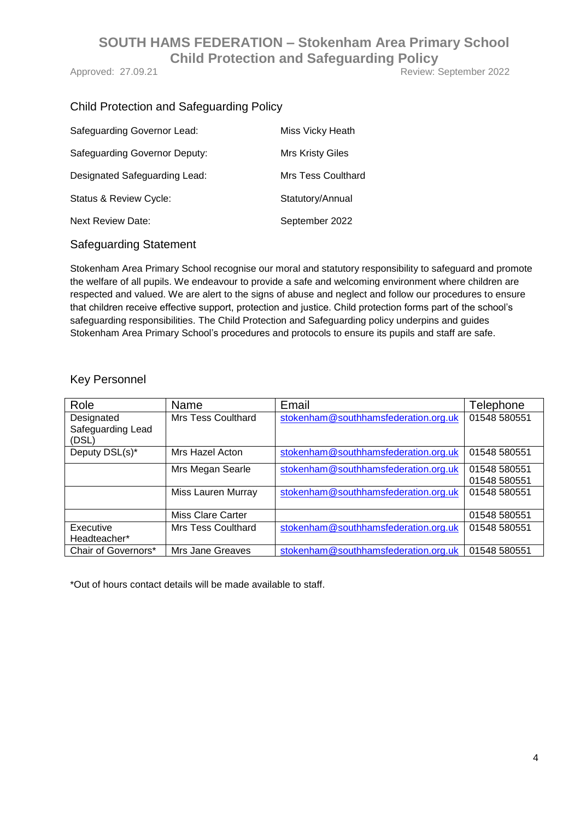Approved: 27.09.21 Review: September 2022

## Child Protection and Safeguarding Policy

| Safeguarding Governor Lead:          | Miss Vicky Heath          |
|--------------------------------------|---------------------------|
| <b>Safeguarding Governor Deputy:</b> | <b>Mrs Kristy Giles</b>   |
| Designated Safeguarding Lead:        | <b>Mrs Tess Coulthard</b> |
| Status & Review Cycle:               | Statutory/Annual          |
| <b>Next Review Date:</b>             | September 2022            |

#### Safeguarding Statement

Stokenham Area Primary School recognise our moral and statutory responsibility to safeguard and promote the welfare of all pupils. We endeavour to provide a safe and welcoming environment where children are respected and valued. We are alert to the signs of abuse and neglect and follow our procedures to ensure that children receive effective support, protection and justice. Child protection forms part of the school's safeguarding responsibilities. The Child Protection and Safeguarding policy underpins and guides Stokenham Area Primary School's procedures and protocols to ensure its pupils and staff are safe.

#### Key Personnel

| Role                       | Name                     | Email                                | Telephone    |
|----------------------------|--------------------------|--------------------------------------|--------------|
| Designated                 | Mrs Tess Coulthard       | stokenham@southhamsfederation.org.uk | 01548 580551 |
| Safeguarding Lead<br>(DSL) |                          |                                      |              |
| Deputy DSL(s)*             | Mrs Hazel Acton          | stokenham@southhamsfederation.org.uk | 01548 580551 |
|                            | Mrs Megan Searle         | stokenham@southhamsfederation.org.uk | 01548 580551 |
|                            |                          |                                      | 01548 580551 |
|                            | Miss Lauren Murray       | stokenham@southhamsfederation.org.uk | 01548 580551 |
|                            |                          |                                      |              |
|                            | <b>Miss Clare Carter</b> |                                      | 01548 580551 |
| Executive                  | Mrs Tess Coulthard       | stokenham@southhamsfederation.org.uk | 01548 580551 |
| Headteacher*               |                          |                                      |              |
| Chair of Governors*        | Mrs Jane Greaves         | stokenham@southhamsfederation.org.uk | 01548 580551 |

\*Out of hours contact details will be made available to staff.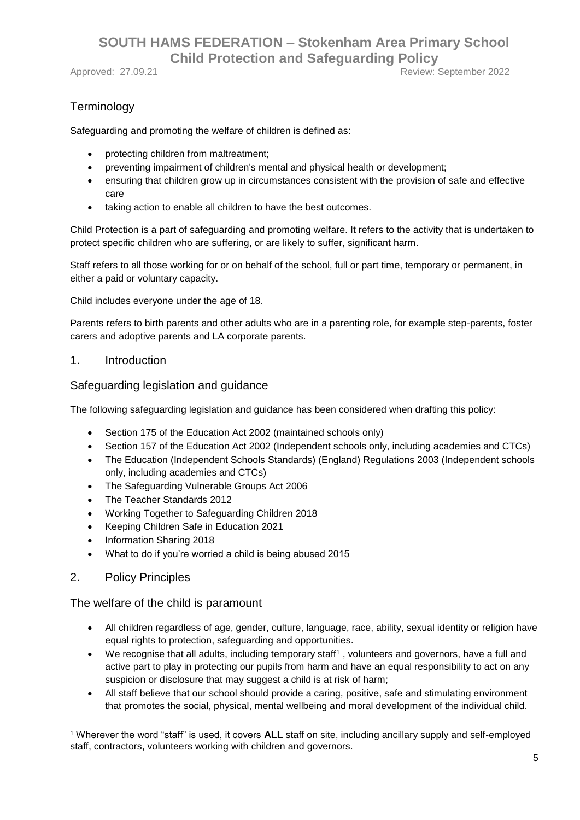Approved: 27.09.21 **Review: September 2022** 

## **Terminology**

Safeguarding and promoting the welfare of children is defined as:

- protecting children from maltreatment;
- preventing impairment of children's mental and physical health or development;
- ensuring that children grow up in circumstances consistent with the provision of safe and effective care
- taking action to enable all children to have the best outcomes.

Child Protection is a part of safeguarding and promoting welfare. It refers to the activity that is undertaken to protect specific children who are suffering, or are likely to suffer, significant harm.

Staff refers to all those working for or on behalf of the school, full or part time, temporary or permanent, in either a paid or voluntary capacity.

Child includes everyone under the age of 18.

Parents refers to birth parents and other adults who are in a parenting role, for example step-parents, foster carers and adoptive parents and LA corporate parents.

#### 1. Introduction

#### Safeguarding legislation and guidance

The following safeguarding legislation and guidance has been considered when drafting this policy:

- Section 175 of the Education Act 2002 (maintained schools only)
- Section 157 of the Education Act 2002 (Independent schools only, including academies and CTCs)
- The Education (Independent Schools Standards) (England) Regulations 2003 (Independent schools only, including academies and CTCs)
- The Safeguarding Vulnerable Groups Act 2006
- The Teacher Standards 2012
- Working Together to Safeguarding Children 2018
- Keeping Children Safe in Education 2021
- Information Sharing 2018
- What to do if you're worried a child is being abused 2015
- 2. Policy Principles

The welfare of the child is paramount

- All children regardless of age, gender, culture, language, race, ability, sexual identity or religion have equal rights to protection, safeguarding and opportunities.
- We recognise that all adults, including temporary staff<sup>1</sup>, volunteers and governors, have a full and active part to play in protecting our pupils from harm and have an equal responsibility to act on any suspicion or disclosure that may suggest a child is at risk of harm;
- All staff believe that our school should provide a caring, positive, safe and stimulating environment that promotes the social, physical, mental wellbeing and moral development of the individual child.

<sup>1</sup> <sup>1</sup> Wherever the word "staff" is used, it covers **ALL** staff on site, including ancillary supply and self-employed staff, contractors, volunteers working with children and governors.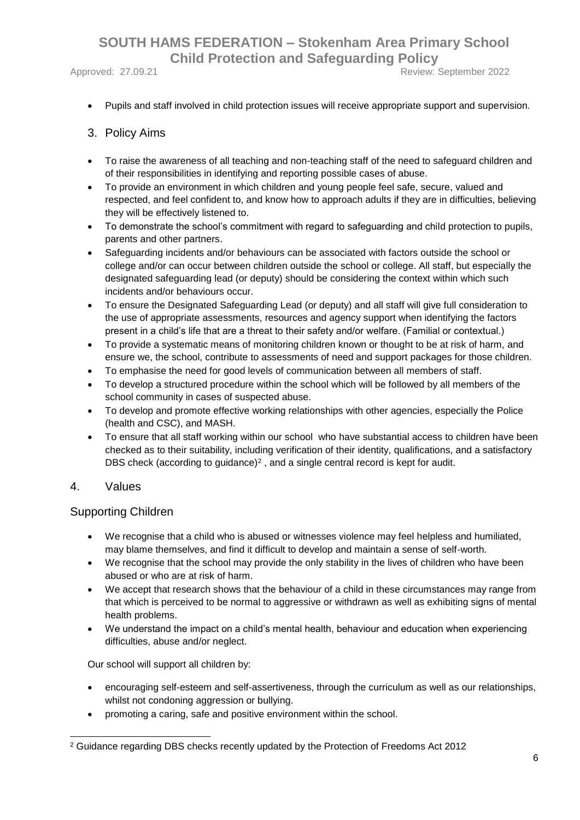Approved: 27.09.21 **Approved: 27.09.21** Review: September 2022

Pupils and staff involved in child protection issues will receive appropriate support and supervision.

#### 3. Policy Aims

- To raise the awareness of all teaching and non-teaching staff of the need to safeguard children and of their responsibilities in identifying and reporting possible cases of abuse.
- To provide an environment in which children and young people feel safe, secure, valued and respected, and feel confident to, and know how to approach adults if they are in difficulties, believing they will be effectively listened to.
- To demonstrate the school's commitment with regard to safeguarding and child protection to pupils, parents and other partners.
- Safeguarding incidents and/or behaviours can be associated with factors outside the school or college and/or can occur between children outside the school or college. All staff, but especially the designated safeguarding lead (or deputy) should be considering the context within which such incidents and/or behaviours occur.
- To ensure the Designated Safeguarding Lead (or deputy) and all staff will give full consideration to the use of appropriate assessments, resources and agency support when identifying the factors present in a child's life that are a threat to their safety and/or welfare. (Familial or contextual.)
- To provide a systematic means of monitoring children known or thought to be at risk of harm, and ensure we, the school, contribute to assessments of need and support packages for those children.
- To emphasise the need for good levels of communication between all members of staff.
- To develop a structured procedure within the school which will be followed by all members of the school community in cases of suspected abuse.
- To develop and promote effective working relationships with other agencies, especially the Police (health and CSC), and MASH.
- To ensure that all staff working within our school who have substantial access to children have been checked as to their suitability, including verification of their identity, qualifications, and a satisfactory DBS check (according to guidance)<sup>2</sup>, and a single central record is kept for audit.

#### 4. Values

#### Supporting Children

- We recognise that a child who is abused or witnesses violence may feel helpless and humiliated, may blame themselves, and find it difficult to develop and maintain a sense of self-worth.
- We recognise that the school may provide the only stability in the lives of children who have been abused or who are at risk of harm.
- We accept that research shows that the behaviour of a child in these circumstances may range from that which is perceived to be normal to aggressive or withdrawn as well as exhibiting signs of mental health problems.
- We understand the impact on a child's mental health, behaviour and education when experiencing difficulties, abuse and/or neglect.

Our school will support all children by:

- encouraging self-esteem and self-assertiveness, through the curriculum as well as our relationships, whilst not condoning aggression or bullying.
- promoting a caring, safe and positive environment within the school.

<sup>1</sup> <sup>2</sup> Guidance regarding DBS checks recently updated by the Protection of Freedoms Act 2012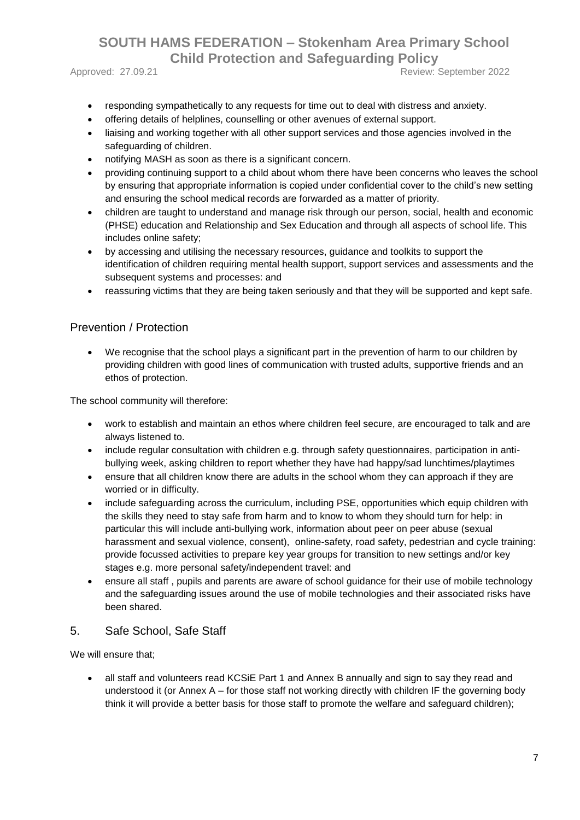Approved: 27.09.21 **Approved: 27.09.21** Review: September 2022

- responding sympathetically to any requests for time out to deal with distress and anxiety.
- offering details of helplines, counselling or other avenues of external support.
- liaising and working together with all other support services and those agencies involved in the safeguarding of children.
- notifying MASH as soon as there is a significant concern.
- providing continuing support to a child about whom there have been concerns who leaves the school by ensuring that appropriate information is copied under confidential cover to the child's new setting and ensuring the school medical records are forwarded as a matter of priority.
- children are taught to understand and manage risk through our person, social, health and economic (PHSE) education and Relationship and Sex Education and through all aspects of school life. This includes online safety;
- by accessing and utilising the necessary resources, guidance and toolkits to support the identification of children requiring mental health support, support services and assessments and the subsequent systems and processes: and
- reassuring victims that they are being taken seriously and that they will be supported and kept safe.

#### Prevention / Protection

 We recognise that the school plays a significant part in the prevention of harm to our children by providing children with good lines of communication with trusted adults, supportive friends and an ethos of protection.

The school community will therefore:

- work to establish and maintain an ethos where children feel secure, are encouraged to talk and are always listened to.
- include regular consultation with children e.g. through safety questionnaires, participation in antibullying week, asking children to report whether they have had happy/sad lunchtimes/playtimes
- ensure that all children know there are adults in the school whom they can approach if they are worried or in difficulty.
- include safeguarding across the curriculum, including PSE, opportunities which equip children with the skills they need to stay safe from harm and to know to whom they should turn for help: in particular this will include anti-bullying work, information about peer on peer abuse (sexual harassment and sexual violence, consent), online-safety, road safety, pedestrian and cycle training: provide focussed activities to prepare key year groups for transition to new settings and/or key stages e.g. more personal safety/independent travel: and
- ensure all staff , pupils and parents are aware of school guidance for their use of mobile technology and the safeguarding issues around the use of mobile technologies and their associated risks have been shared.

#### 5. Safe School, Safe Staff

We will ensure that;

• all staff and volunteers read KCSiE Part 1 and Annex B annually and sign to say they read and understood it (or Annex A – for those staff not working directly with children IF the governing body think it will provide a better basis for those staff to promote the welfare and safeguard children);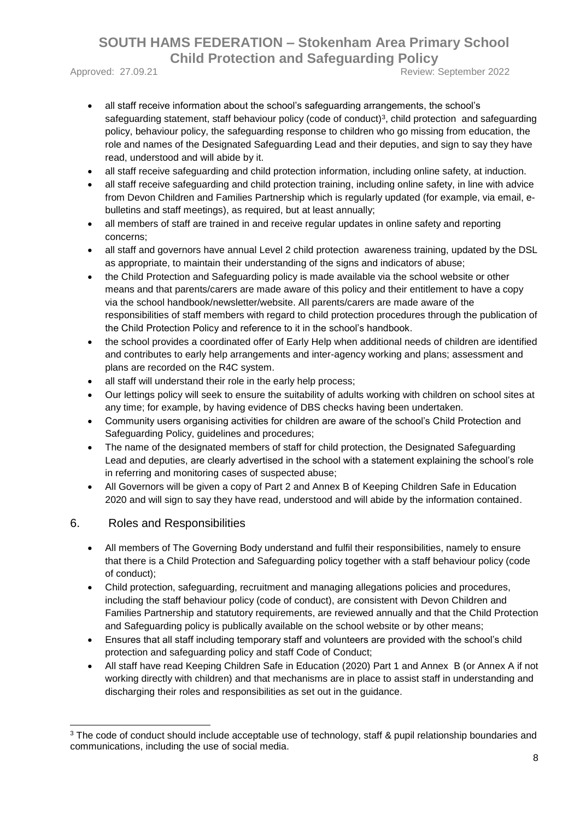Approved: 27.09.21 **Approved: 2022** 

- all staff receive information about the school's safeguarding arrangements, the school's safeguarding statement, staff behaviour policy (code of conduct)<sup>3</sup>, child protection and safeguarding policy, behaviour policy, the safeguarding response to children who go missing from education, the role and names of the Designated Safeguarding Lead and their deputies, and sign to say they have read, understood and will abide by it.
- all staff receive safeguarding and child protection information, including online safety, at induction.
- all staff receive safeguarding and child protection training, including online safety, in line with advice from Devon Children and Families Partnership which is regularly updated (for example, via email, ebulletins and staff meetings), as required, but at least annually;
- all members of staff are trained in and receive regular updates in online safety and reporting concerns;
- all staff and governors have annual Level 2 child protection awareness training, updated by the DSL as appropriate, to maintain their understanding of the signs and indicators of abuse;
- the Child Protection and Safeguarding policy is made available via the school website or other means and that parents/carers are made aware of this policy and their entitlement to have a copy via the school handbook/newsletter/website. All parents/carers are made aware of the responsibilities of staff members with regard to child protection procedures through the publication of the Child Protection Policy and reference to it in the school's handbook.
- the school provides a coordinated offer of Early Help when additional needs of children are identified and contributes to early help arrangements and inter-agency working and plans; assessment and plans are recorded on the R4C system.
- all staff will understand their role in the early help process;
- Our lettings policy will seek to ensure the suitability of adults working with children on school sites at any time; for example, by having evidence of DBS checks having been undertaken.
- Community users organising activities for children are aware of the school's Child Protection and Safeguarding Policy, guidelines and procedures;
- The name of the designated members of staff for child protection, the Designated Safeguarding Lead and deputies, are clearly advertised in the school with a statement explaining the school's role in referring and monitoring cases of suspected abuse;
- All Governors will be given a copy of Part 2 and Annex B of Keeping Children Safe in Education 2020 and will sign to say they have read, understood and will abide by the information contained.

#### 6. Roles and Responsibilities

1

- All members of The Governing Body understand and fulfil their responsibilities, namely to ensure that there is a Child Protection and Safeguarding policy together with a staff behaviour policy (code of conduct);
- Child protection, safeguarding, recruitment and managing allegations policies and procedures, including the staff behaviour policy (code of conduct), are consistent with Devon Children and Families Partnership and statutory requirements, are reviewed annually and that the Child Protection and Safeguarding policy is publically available on the school website or by other means;
- Ensures that all staff including temporary staff and volunteers are provided with the school's child protection and safeguarding policy and staff Code of Conduct;
- All staff have read Keeping Children Safe in Education (2020) Part 1 and Annex B (or Annex A if not working directly with children) and that mechanisms are in place to assist staff in understanding and discharging their roles and responsibilities as set out in the guidance.

<sup>&</sup>lt;sup>3</sup> The code of conduct should include acceptable use of technology, staff & pupil relationship boundaries and communications, including the use of social media.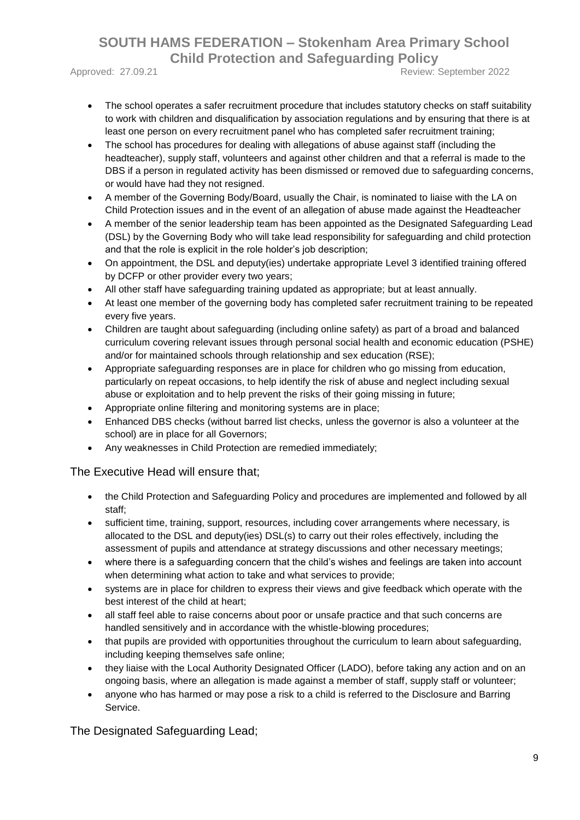Approved: 27.09.21 **Approved: 2022** 

- The school operates a safer recruitment procedure that includes statutory checks on staff suitability to work with children and disqualification by association regulations and by ensuring that there is at
- least one person on every recruitment panel who has completed safer recruitment training; The school has procedures for dealing with allegations of abuse against staff (including the headteacher), supply staff, volunteers and against other children and that a referral is made to the DBS if a person in regulated activity has been dismissed or removed due to safeguarding concerns, or would have had they not resigned.
- A member of the Governing Body/Board, usually the Chair, is nominated to liaise with the LA on Child Protection issues and in the event of an allegation of abuse made against the Headteacher
- A member of the senior leadership team has been appointed as the Designated Safeguarding Lead (DSL) by the Governing Body who will take lead responsibility for safeguarding and child protection and that the role is explicit in the role holder's job description;
- On appointment, the DSL and deputy(ies) undertake appropriate Level 3 identified training offered by DCFP or other provider every two years;
- All other staff have safeguarding training updated as appropriate; but at least annually.
- At least one member of the governing body has completed safer recruitment training to be repeated every five years.
- Children are taught about safeguarding (including online safety) as part of a broad and balanced curriculum covering relevant issues through personal social health and economic education (PSHE) and/or for maintained schools through relationship and sex education (RSE);
- Appropriate safeguarding responses are in place for children who go missing from education, particularly on repeat occasions, to help identify the risk of abuse and neglect including sexual abuse or exploitation and to help prevent the risks of their going missing in future;
- Appropriate online filtering and monitoring systems are in place;
- Enhanced DBS checks (without barred list checks, unless the governor is also a volunteer at the school) are in place for all Governors;
- Any weaknesses in Child Protection are remedied immediately;

#### The Executive Head will ensure that;

- the Child Protection and Safeguarding Policy and procedures are implemented and followed by all staff;
- sufficient time, training, support, resources, including cover arrangements where necessary, is allocated to the DSL and deputy(ies) DSL(s) to carry out their roles effectively, including the assessment of pupils and attendance at strategy discussions and other necessary meetings;
- where there is a safeguarding concern that the child's wishes and feelings are taken into account when determining what action to take and what services to provide;
- systems are in place for children to express their views and give feedback which operate with the best interest of the child at heart;
- all staff feel able to raise concerns about poor or unsafe practice and that such concerns are handled sensitively and in accordance with the whistle-blowing procedures;
- that pupils are provided with opportunities throughout the curriculum to learn about safeguarding, including keeping themselves safe online;
- they liaise with the Local Authority Designated Officer (LADO), before taking any action and on an ongoing basis, where an allegation is made against a member of staff, supply staff or volunteer;
- anyone who has harmed or may pose a risk to a child is referred to the Disclosure and Barring Service.

The Designated Safeguarding Lead;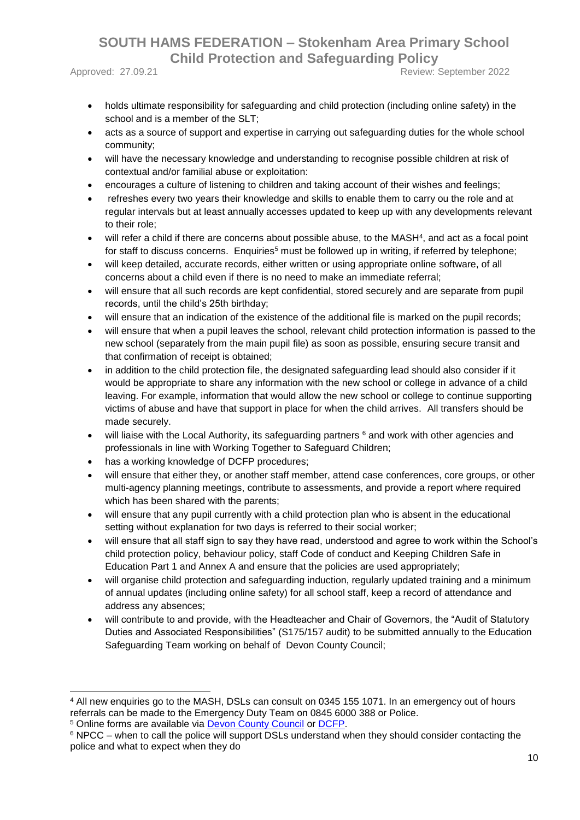-

Approved: 27.09.21 **Approved: 27.09.21** Review: September 2022

- holds ultimate responsibility for safeguarding and child protection (including online safety) in the school and is a member of the SLT;
- acts as a source of support and expertise in carrying out safeguarding duties for the whole school community;
- will have the necessary knowledge and understanding to recognise possible children at risk of contextual and/or familial abuse or exploitation:
- encourages a culture of listening to children and taking account of their wishes and feelings;
- refreshes every two years their knowledge and skills to enable them to carry ou the role and at regular intervals but at least annually accesses updated to keep up with any developments relevant to their role;
- will refer a child if there are concerns about possible abuse, to the MASH<sup>4</sup>, and act as a focal point for staff to discuss concerns. Enquiries<sup>5</sup> must be followed up in writing, if referred by telephone;
- will keep detailed, accurate records, either written or using appropriate online software, of all concerns about a child even if there is no need to make an immediate referral;
- will ensure that all such records are kept confidential, stored securely and are separate from pupil records, until the child's 25th birthday;
- will ensure that an indication of the existence of the additional file is marked on the pupil records;
- will ensure that when a pupil leaves the school, relevant child protection information is passed to the new school (separately from the main pupil file) as soon as possible, ensuring secure transit and that confirmation of receipt is obtained;
- in addition to the child protection file, the designated safeguarding lead should also consider if it would be appropriate to share any information with the new school or college in advance of a child leaving. For example, information that would allow the new school or college to continue supporting victims of abuse and have that support in place for when the child arrives. All transfers should be made securely.
- will liaise with the Local Authority, its safeguarding partners <sup>6</sup> and work with other agencies and professionals in line with Working Together to Safeguard Children;
- has a working knowledge of DCFP procedures;
- will ensure that either they, or another staff member, attend case conferences, core groups, or other multi-agency planning meetings, contribute to assessments, and provide a report where required which has been shared with the parents;
- will ensure that any pupil currently with a child protection plan who is absent in the educational setting without explanation for two days is referred to their social worker;
- will ensure that all staff sign to say they have read, understood and agree to work within the School's child protection policy, behaviour policy, staff Code of conduct and Keeping Children Safe in Education Part 1 and Annex A and ensure that the policies are used appropriately;
- will organise child protection and safeguarding induction, regularly updated training and a minimum of annual updates (including online safety) for all school staff, keep a record of attendance and address any absences;
- will contribute to and provide, with the Headteacher and Chair of Governors, the "Audit of Statutory Duties and Associated Responsibilities" (S175/157 audit) to be submitted annually to the Education Safeguarding Team working on behalf of Devon County Council;

<sup>4</sup> All new enquiries go to the MASH, DSLs can consult on 0345 155 1071. In an emergency out of hours referrals can be made to the Emergency Duty Team on 0845 6000 388 or Police. <sup>5</sup> Online forms are available via [Devon County Council](https://new.devon.gov.uk/educationandfamilies/child-protection/making-a-mash-enquiry) or [DCFP.](https://www.devonchildrenandfamiliespartnership.org.uk/)

<sup>6</sup> NPCC – when to call the police will support DSLs understand when they should consider contacting the police and what to expect when they do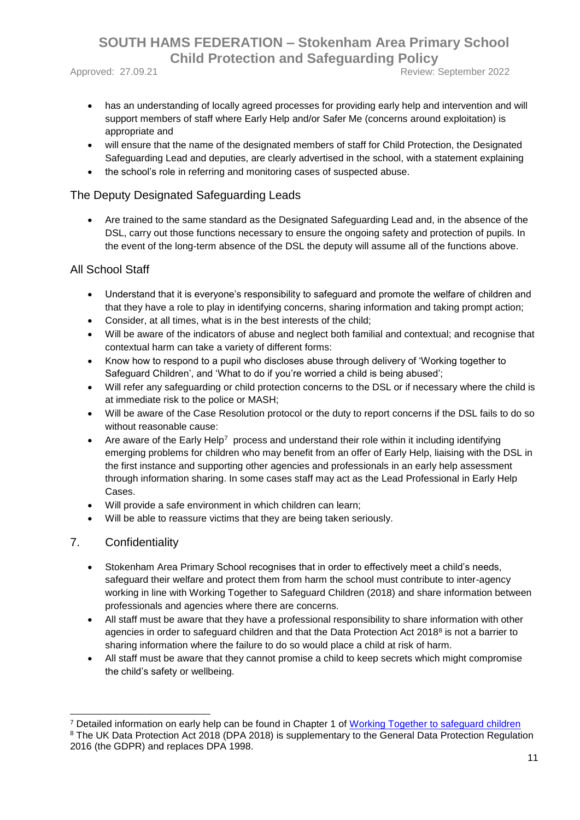Approved: 27.09.21 **Approved: 2022** 

- has an understanding of locally agreed processes for providing early help and intervention and will support members of staff where Early Help and/or Safer Me (concerns around exploitation) is appropriate and
- will ensure that the name of the designated members of staff for Child Protection, the Designated Safeguarding Lead and deputies, are clearly advertised in the school, with a statement explaining
- the school's role in referring and monitoring cases of suspected abuse.

#### The Deputy Designated Safeguarding Leads

 Are trained to the same standard as the Designated Safeguarding Lead and, in the absence of the DSL, carry out those functions necessary to ensure the ongoing safety and protection of pupils. In the event of the long-term absence of the DSL the deputy will assume all of the functions above.

#### All School Staff

- Understand that it is everyone's responsibility to safeguard and promote the welfare of children and that they have a role to play in identifying concerns, sharing information and taking prompt action;
- Consider, at all times, what is in the best interests of the child;
- Will be aware of the indicators of abuse and neglect both familial and contextual; and recognise that contextual harm can take a variety of different forms:
- Know how to respond to a pupil who discloses abuse through delivery of 'Working together to Safeguard Children', and 'What to do if you're worried a child is being abused';
- Will refer any safeguarding or child protection concerns to the DSL or if necessary where the child is at immediate risk to the police or MASH;
- Will be aware of the Case Resolution protocol or the duty to report concerns if the DSL fails to do so without reasonable cause:
- Are aware of the Early Help<sup>7</sup> process and understand their role within it including identifying emerging problems for children who may benefit from an offer of Early Help, liaising with the DSL in the first instance and supporting other agencies and professionals in an early help assessment through information sharing. In some cases staff may act as the Lead Professional in Early Help Cases.
- Will provide a safe environment in which children can learn;
- Will be able to reassure victims that they are being taken seriously.

#### 7. Confidentiality

- Stokenham Area Primary School recognises that in order to effectively meet a child's needs, safeguard their welfare and protect them from harm the school must contribute to inter-agency working in line with Working Together to Safeguard Children (2018) and share information between professionals and agencies where there are concerns.
- All staff must be aware that they have a professional responsibility to share information with other agencies in order to safeguard children and that the Data Protection Act 2018<sup>8</sup> is not a barrier to sharing information where the failure to do so would place a child at risk of harm.
- All staff must be aware that they cannot promise a child to keep secrets which might compromise the child's safety or wellbeing.

<sup>-</sup><sup>7</sup> Detailed information on early help can be found in Chapter 1 of [Working Together to safeguard children](https://www.gov.uk/government/uploads/system/uploads/attachment_data/file/592101/Working_Together_to_Safeguard_Children_20170213.pdf) <sup>8</sup> The UK Data Protection Act 2018 (DPA 2018) is supplementary to the General Data Protection Regulation 2016 (the GDPR) and replaces DPA 1998.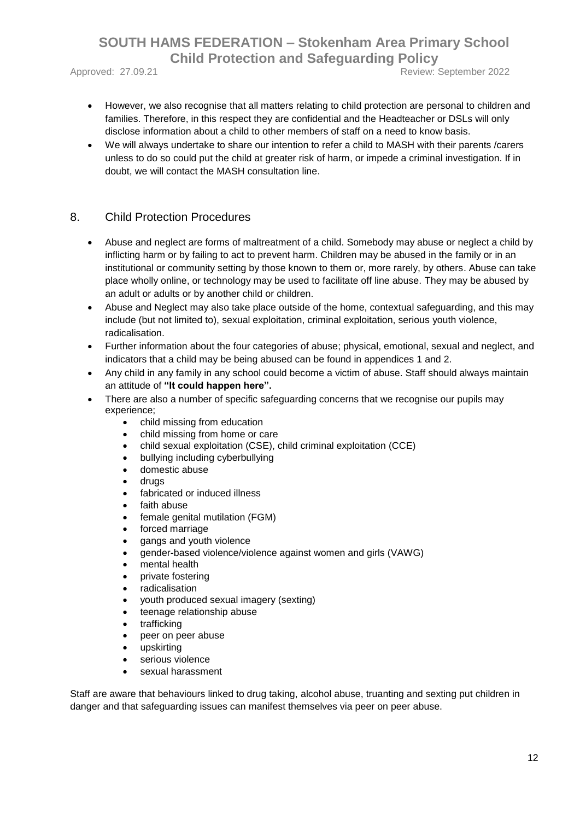Approved: 27.09.21 **Review: September 2022** 

- However, we also recognise that all matters relating to child protection are personal to children and families. Therefore, in this respect they are confidential and the Headteacher or DSLs will only disclose information about a child to other members of staff on a need to know basis.
- We will always undertake to share our intention to refer a child to MASH with their parents /carers unless to do so could put the child at greater risk of harm, or impede a criminal investigation. If in doubt, we will contact the MASH consultation line.

#### 8. Child Protection Procedures

- Abuse and neglect are forms of maltreatment of a child. Somebody may abuse or neglect a child by inflicting harm or by failing to act to prevent harm. Children may be abused in the family or in an institutional or community setting by those known to them or, more rarely, by others. Abuse can take place wholly online, or technology may be used to facilitate off line abuse. They may be abused by an adult or adults or by another child or children.
- Abuse and Neglect may also take place outside of the home, contextual safeguarding, and this may include (but not limited to), sexual exploitation, criminal exploitation, serious youth violence, radicalisation.
- Further information about the four categories of abuse; physical, emotional, sexual and neglect, and indicators that a child may be being abused can be found in appendices 1 and 2.
- Any child in any family in any school could become a victim of abuse. Staff should always maintain an attitude of **"It could happen here".**
- There are also a number of specific safeguarding concerns that we recognise our pupils may experience;
	- child missing from education
	- child missing from home or care
	- child sexual exploitation (CSE), child criminal exploitation (CCE)
	- bullying including cyberbullying
	- domestic abuse
	- drugs
	- fabricated or induced illness
	- faith abuse
	- female genital mutilation (FGM)
	- forced marriage
	- gangs and youth violence
	- gender-based violence/violence against women and girls (VAWG)
	- mental health
	- private fostering
	- radicalisation
	- youth produced sexual imagery (sexting)
	- teenage relationship abuse
	- trafficking
	- peer on peer abuse
	- upskirting
	- serious violence
	- sexual harassment

Staff are aware that behaviours linked to drug taking, alcohol abuse, truanting and sexting put children in danger and that safeguarding issues can manifest themselves via peer on peer abuse.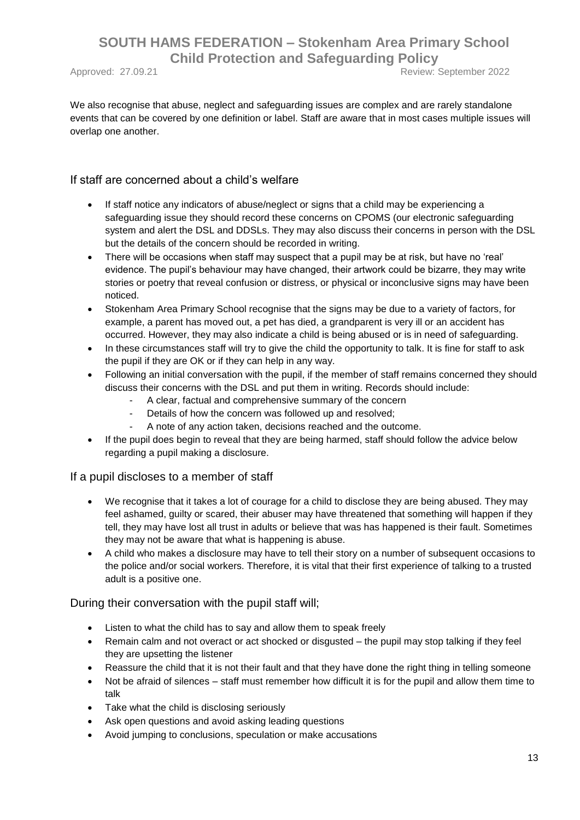Approved: 27.09.21 **Approved: 27.09.21** Review: September 2022

We also recognise that abuse, neglect and safeguarding issues are complex and are rarely standalone events that can be covered by one definition or label. Staff are aware that in most cases multiple issues will overlap one another.

If staff are concerned about a child's welfare

- If staff notice any indicators of abuse/neglect or signs that a child may be experiencing a safeguarding issue they should record these concerns on CPOMS (our electronic safeguarding system and alert the DSL and DDSLs. They may also discuss their concerns in person with the DSL but the details of the concern should be recorded in writing.
- There will be occasions when staff may suspect that a pupil may be at risk, but have no 'real' evidence. The pupil's behaviour may have changed, their artwork could be bizarre, they may write stories or poetry that reveal confusion or distress, or physical or inconclusive signs may have been noticed.
- Stokenham Area Primary School recognise that the signs may be due to a variety of factors, for example, a parent has moved out, a pet has died, a grandparent is very ill or an accident has occurred. However, they may also indicate a child is being abused or is in need of safeguarding.
- In these circumstances staff will try to give the child the opportunity to talk. It is fine for staff to ask the pupil if they are OK or if they can help in any way.
- Following an initial conversation with the pupil, if the member of staff remains concerned they should discuss their concerns with the DSL and put them in writing. Records should include:
	- A clear, factual and comprehensive summary of the concern
	- Details of how the concern was followed up and resolved;
	- A note of any action taken, decisions reached and the outcome.
- If the pupil does begin to reveal that they are being harmed, staff should follow the advice below regarding a pupil making a disclosure.

#### If a pupil discloses to a member of staff

- We recognise that it takes a lot of courage for a child to disclose they are being abused. They may feel ashamed, guilty or scared, their abuser may have threatened that something will happen if they tell, they may have lost all trust in adults or believe that was has happened is their fault. Sometimes they may not be aware that what is happening is abuse.
- A child who makes a disclosure may have to tell their story on a number of subsequent occasions to the police and/or social workers. Therefore, it is vital that their first experience of talking to a trusted adult is a positive one.

During their conversation with the pupil staff will;

- Listen to what the child has to say and allow them to speak freely
- Remain calm and not overact or act shocked or disgusted the pupil may stop talking if they feel they are upsetting the listener
- Reassure the child that it is not their fault and that they have done the right thing in telling someone
- Not be afraid of silences staff must remember how difficult it is for the pupil and allow them time to talk
- Take what the child is disclosing seriously
- Ask open questions and avoid asking leading questions
- Avoid jumping to conclusions, speculation or make accusations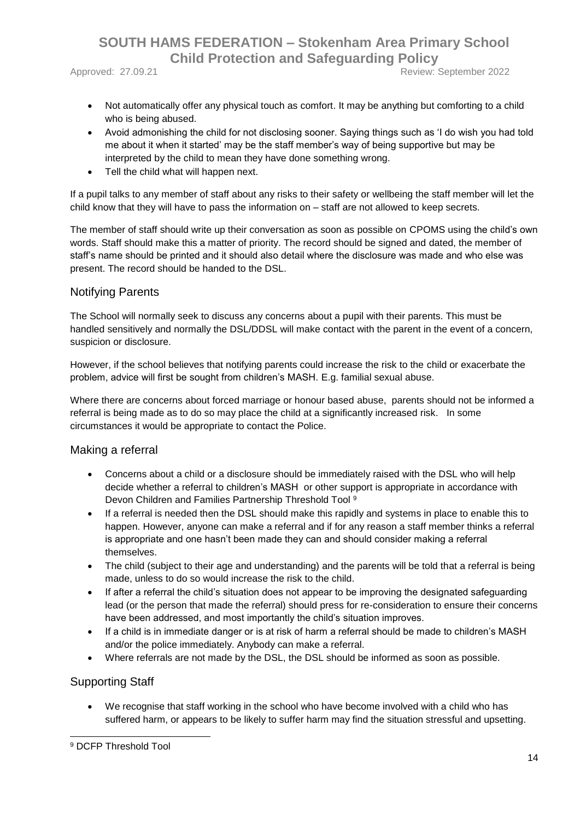Approved: 27.09.21 **Approved: 27.09.21** Review: September 2022

- Not automatically offer any physical touch as comfort. It may be anything but comforting to a child who is being abused.
- Avoid admonishing the child for not disclosing sooner. Saying things such as 'I do wish you had told me about it when it started' may be the staff member's way of being supportive but may be interpreted by the child to mean they have done something wrong.
- Tell the child what will happen next.

If a pupil talks to any member of staff about any risks to their safety or wellbeing the staff member will let the child know that they will have to pass the information on – staff are not allowed to keep secrets.

The member of staff should write up their conversation as soon as possible on CPOMS using the child's own words. Staff should make this a matter of priority. The record should be signed and dated, the member of staff's name should be printed and it should also detail where the disclosure was made and who else was present. The record should be handed to the DSL.

#### Notifying Parents

The School will normally seek to discuss any concerns about a pupil with their parents. This must be handled sensitively and normally the DSL/DDSL will make contact with the parent in the event of a concern, suspicion or disclosure.

However, if the school believes that notifying parents could increase the risk to the child or exacerbate the problem, advice will first be sought from children's MASH. E.g. familial sexual abuse.

Where there are concerns about forced marriage or honour based abuse, parents should not be informed a referral is being made as to do so may place the child at a significantly increased risk. In some circumstances it would be appropriate to contact the Police.

#### Making a referral

- Concerns about a child or a disclosure should be immediately raised with the DSL who will help decide whether a referral to children's MASH or other support is appropriate in accordance with Devon Children and Families Partnership Threshold Tool <sup>9</sup>
- If a referral is needed then the DSL should make this rapidly and systems in place to enable this to happen. However, anyone can make a referral and if for any reason a staff member thinks a referral is appropriate and one hasn't been made they can and should consider making a referral themselves.
- The child (subject to their age and understanding) and the parents will be told that a referral is being made, unless to do so would increase the risk to the child.
- If after a referral the child's situation does not appear to be improving the designated safeguarding lead (or the person that made the referral) should press for re-consideration to ensure their concerns have been addressed, and most importantly the child's situation improves.
- If a child is in immediate danger or is at risk of harm a referral should be made to children's MASH and/or the police immediately. Anybody can make a referral.
- Where referrals are not made by the DSL, the DSL should be informed as soon as possible.

#### Supporting Staff

 We recognise that staff working in the school who have become involved with a child who has suffered harm, or appears to be likely to suffer harm may find the situation stressful and upsetting.

<sup>1</sup> <sup>9</sup> DCFP Threshold Tool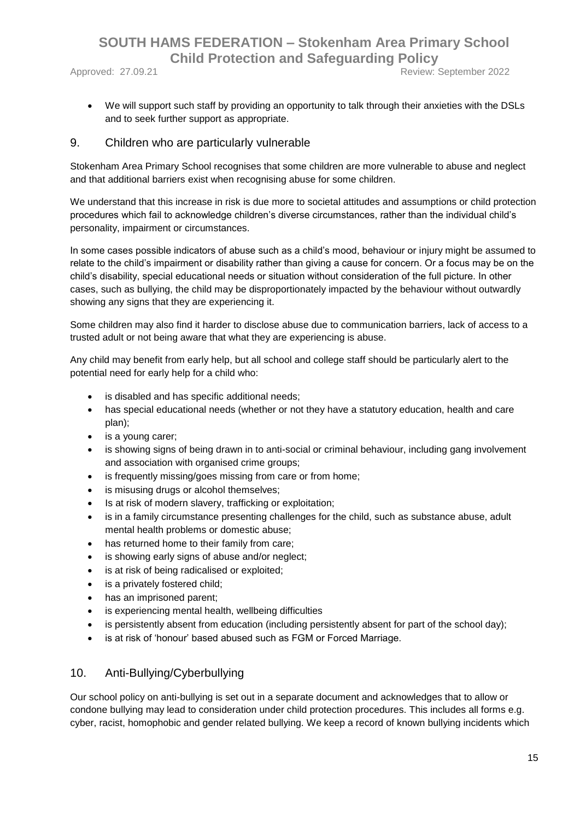Approved: 27.09.21 **Approved: 27.09.21** Review: September 2022

We will support such staff by providing an opportunity to talk through their anxieties with the DSLs and to seek further support as appropriate.

#### 9. Children who are particularly vulnerable

Stokenham Area Primary School recognises that some children are more vulnerable to abuse and neglect and that additional barriers exist when recognising abuse for some children.

We understand that this increase in risk is due more to societal attitudes and assumptions or child protection procedures which fail to acknowledge children's diverse circumstances, rather than the individual child's personality, impairment or circumstances.

In some cases possible indicators of abuse such as a child's mood, behaviour or injury might be assumed to relate to the child's impairment or disability rather than giving a cause for concern. Or a focus may be on the child's disability, special educational needs or situation without consideration of the full picture. In other cases, such as bullying, the child may be disproportionately impacted by the behaviour without outwardly showing any signs that they are experiencing it.

Some children may also find it harder to disclose abuse due to communication barriers, lack of access to a trusted adult or not being aware that what they are experiencing is abuse.

Any child may benefit from early help, but all school and college staff should be particularly alert to the potential need for early help for a child who:

- is disabled and has specific additional needs;
- has special educational needs (whether or not they have a statutory education, health and care plan);
- is a young carer;
- is showing signs of being drawn in to anti-social or criminal behaviour, including gang involvement and association with organised crime groups;
- is frequently missing/goes missing from care or from home;
- is misusing drugs or alcohol themselves;
- Is at risk of modern slavery, trafficking or exploitation;
- is in a family circumstance presenting challenges for the child, such as substance abuse, adult mental health problems or domestic abuse;
- has returned home to their family from care;
- is showing early signs of abuse and/or neglect;
- is at risk of being radicalised or exploited;
- is a privately fostered child;
- has an imprisoned parent;
- is experiencing mental health, wellbeing difficulties
- is persistently absent from education (including persistently absent for part of the school day);
- is at risk of 'honour' based abused such as FGM or Forced Marriage.

#### 10. Anti-Bullying/Cyberbullying

Our school policy on anti-bullying is set out in a separate document and acknowledges that to allow or condone bullying may lead to consideration under child protection procedures. This includes all forms e.g. cyber, racist, homophobic and gender related bullying. We keep a record of known bullying incidents which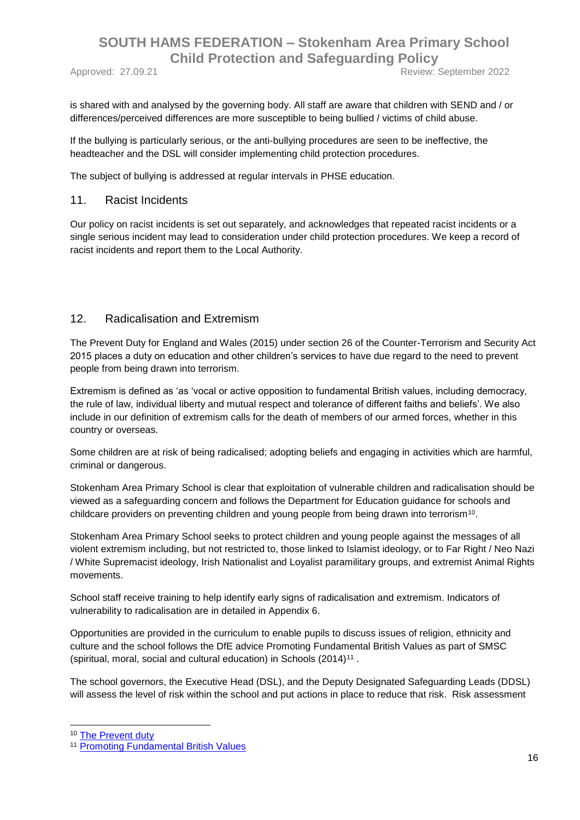Approved: 27.09.21 Review: September 2022

is shared with and analysed by the governing body. All staff are aware that children with SEND and / or differences/perceived differences are more susceptible to being bullied / victims of child abuse.

If the bullying is particularly serious, or the anti-bullying procedures are seen to be ineffective, the headteacher and the DSL will consider implementing child protection procedures.

The subject of bullying is addressed at regular intervals in PHSE education.

#### 11. Racist Incidents

Our policy on racist incidents is set out separately, and acknowledges that repeated racist incidents or a single serious incident may lead to consideration under child protection procedures. We keep a record of racist incidents and report them to the Local Authority.

#### 12. Radicalisation and Extremism

The Prevent Duty for England and Wales (2015) under section 26 of the Counter-Terrorism and Security Act 2015 places a duty on education and other children's services to have due regard to the need to prevent people from being drawn into terrorism.

Extremism is defined as 'as 'vocal or active opposition to fundamental British values, including democracy, the rule of law, individual liberty and mutual respect and tolerance of different faiths and beliefs'. We also include in our definition of extremism calls for the death of members of our armed forces, whether in this country or overseas.

Some children are at risk of being radicalised; adopting beliefs and engaging in activities which are harmful, criminal or dangerous.

Stokenham Area Primary School is clear that exploitation of vulnerable children and radicalisation should be viewed as a safeguarding concern and follows the Department for Education guidance for schools and childcare providers on preventing children and young people from being drawn into terrorism<sup>10</sup>.

Stokenham Area Primary School seeks to protect children and young people against the messages of all violent extremism including, but not restricted to, those linked to Islamist ideology, or to Far Right / Neo Nazi / White Supremacist ideology, Irish Nationalist and Loyalist paramilitary groups, and extremist Animal Rights movements.

School staff receive training to help identify early signs of radicalisation and extremism. Indicators of vulnerability to radicalisation are in detailed in Appendix 6.

Opportunities are provided in the curriculum to enable pupils to discuss issues of religion, ethnicity and culture and the school follows the DfE advice Promoting Fundamental British Values as part of SMSC (spiritual, moral, social and cultural education) in Schools  $(2014)^{11}$ .

The school governors, the Executive Head (DSL), and the Deputy Designated Safeguarding Leads (DDSL) will assess the level of risk within the school and put actions in place to reduce that risk. Risk assessment

1

<sup>10</sup> [The Prevent duty](https://www.gov.uk/government/uploads/system/uploads/attachment_data/file/439598/prevent-duty-departmental-advice-v6.pdf)

<sup>11</sup> [Promoting Fundamental British Values](https://www.gov.uk/government/uploads/system/uploads/attachment_data/file/380595/SMSC_Guidance_Maintained_Schools.pdf)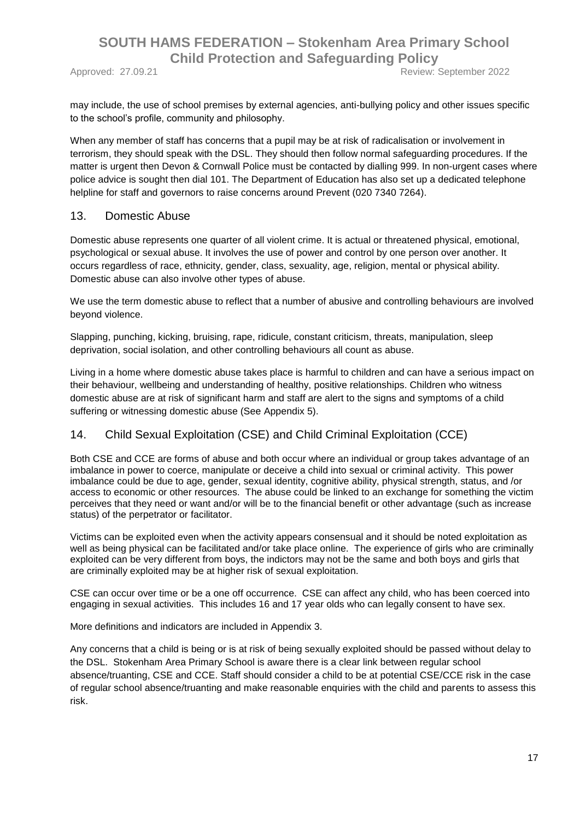Approved: 27.09.21 **Approved: 27.09.21** Review: September 2022

may include, the use of school premises by external agencies, anti-bullying policy and other issues specific to the school's profile, community and philosophy.

When any member of staff has concerns that a pupil may be at risk of radicalisation or involvement in terrorism, they should speak with the DSL. They should then follow normal safeguarding procedures. If the matter is urgent then Devon & Cornwall Police must be contacted by dialling 999. In non-urgent cases where police advice is sought then dial 101. The Department of Education has also set up a dedicated telephone helpline for staff and governors to raise concerns around Prevent (020 7340 7264).

#### 13. Domestic Abuse

Domestic abuse represents one quarter of all violent crime. It is actual or threatened physical, emotional, psychological or sexual abuse. It involves the use of power and control by one person over another. It occurs regardless of race, ethnicity, gender, class, sexuality, age, religion, mental or physical ability. Domestic abuse can also involve other types of abuse.

We use the term domestic abuse to reflect that a number of abusive and controlling behaviours are involved beyond violence.

Slapping, punching, kicking, bruising, rape, ridicule, constant criticism, threats, manipulation, sleep deprivation, social isolation, and other controlling behaviours all count as abuse.

Living in a home where domestic abuse takes place is harmful to children and can have a serious impact on their behaviour, wellbeing and understanding of healthy, positive relationships. Children who witness domestic abuse are at risk of significant harm and staff are alert to the signs and symptoms of a child suffering or witnessing domestic abuse (See Appendix 5).

#### 14. Child Sexual Exploitation (CSE) and Child Criminal Exploitation (CCE)

Both CSE and CCE are forms of abuse and both occur where an individual or group takes advantage of an imbalance in power to coerce, manipulate or deceive a child into sexual or criminal activity. This power imbalance could be due to age, gender, sexual identity, cognitive ability, physical strength, status, and /or access to economic or other resources. The abuse could be linked to an exchange for something the victim perceives that they need or want and/or will be to the financial benefit or other advantage (such as increase status) of the perpetrator or facilitator.

Victims can be exploited even when the activity appears consensual and it should be noted exploitation as well as being physical can be facilitated and/or take place online. The experience of girls who are criminally exploited can be very different from boys, the indictors may not be the same and both boys and girls that are criminally exploited may be at higher risk of sexual exploitation.

CSE can occur over time or be a one off occurrence. CSE can affect any child, who has been coerced into engaging in sexual activities. This includes 16 and 17 year olds who can legally consent to have sex.

More definitions and indicators are included in Appendix 3.

Any concerns that a child is being or is at risk of being sexually exploited should be passed without delay to the DSL. Stokenham Area Primary School is aware there is a clear link between regular school absence/truanting, CSE and CCE. Staff should consider a child to be at potential CSE/CCE risk in the case of regular school absence/truanting and make reasonable enquiries with the child and parents to assess this risk.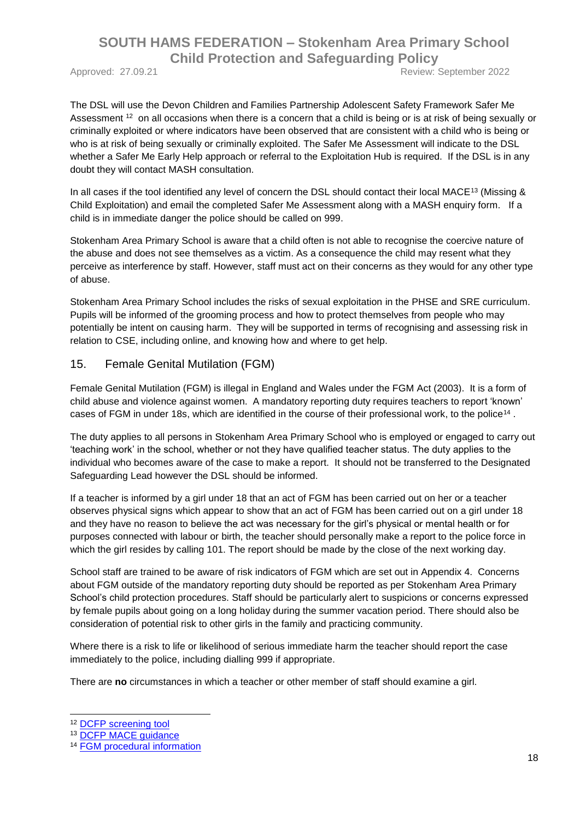Approved: 27.09.21 Review: September 2022

The DSL will use the Devon Children and Families Partnership Adolescent Safety Framework Safer Me Assessment <sup>12</sup> on all occasions when there is a concern that a child is being or is at risk of being sexually or criminally exploited or where indicators have been observed that are consistent with a child who is being or who is at risk of being sexually or criminally exploited. The Safer Me Assessment will indicate to the DSL whether a Safer Me Early Help approach or referral to the Exploitation Hub is required. If the DSL is in any doubt they will contact MASH consultation.

In all cases if the tool identified any level of concern the DSL should contact their local MACE<sup>13</sup> (Missing & Child Exploitation) and email the completed Safer Me Assessment along with a MASH enquiry form. If a child is in immediate danger the police should be called on 999.

Stokenham Area Primary School is aware that a child often is not able to recognise the coercive nature of the abuse and does not see themselves as a victim. As a consequence the child may resent what they perceive as interference by staff. However, staff must act on their concerns as they would for any other type of abuse.

Stokenham Area Primary School includes the risks of sexual exploitation in the PHSE and SRE curriculum. Pupils will be informed of the grooming process and how to protect themselves from people who may potentially be intent on causing harm. They will be supported in terms of recognising and assessing risk in relation to CSE, including online, and knowing how and where to get help.

#### 15. Female Genital Mutilation (FGM)

Female Genital Mutilation (FGM) is illegal in England and Wales under the FGM Act (2003). It is a form of child abuse and violence against women. A mandatory reporting duty requires teachers to report 'known' cases of FGM in under 18s, which are identified in the course of their professional work, to the police<sup>14</sup>.

The duty applies to all persons in Stokenham Area Primary School who is employed or engaged to carry out 'teaching work' in the school, whether or not they have qualified teacher status. The duty applies to the individual who becomes aware of the case to make a report. It should not be transferred to the Designated Safeguarding Lead however the DSL should be informed.

If a teacher is informed by a girl under 18 that an act of FGM has been carried out on her or a teacher observes physical signs which appear to show that an act of FGM has been carried out on a girl under 18 and they have no reason to believe the act was necessary for the girl's physical or mental health or for purposes connected with labour or birth, the teacher should personally make a report to the police force in which the girl resides by calling 101. The report should be made by the close of the next working day.

School staff are trained to be aware of risk indicators of FGM which are set out in Appendix 4. Concerns about FGM outside of the mandatory reporting duty should be reported as per Stokenham Area Primary School's child protection procedures. Staff should be particularly alert to suspicions or concerns expressed by female pupils about going on a long holiday during the summer vacation period. There should also be consideration of potential risk to other girls in the family and practicing community.

Where there is a risk to life or likelihood of serious immediate harm the teacher should report the case immediately to the police, including dialling 999 if appropriate.

There are **no** circumstances in which a teacher or other member of staff should examine a girl.

-

<sup>12</sup> DCFP [screening tool](https://www.devonchildrenandfamiliespartnership.org.uk/workers-volunteers/child-sexual-exploitation/)

<sup>13</sup> [DCFP MACE guidance](https://www.dcfp.org.uk/child-abuse/child-sexual-exploitation/child-exploitation-information-for-professionals/)

<sup>14</sup> [FGM procedural information](https://www.gov.uk/government/uploads/system/uploads/attachment_data/file/573782/FGM_Mandatory_Reporting_-_procedural_information_nov16_FINAL.pdf)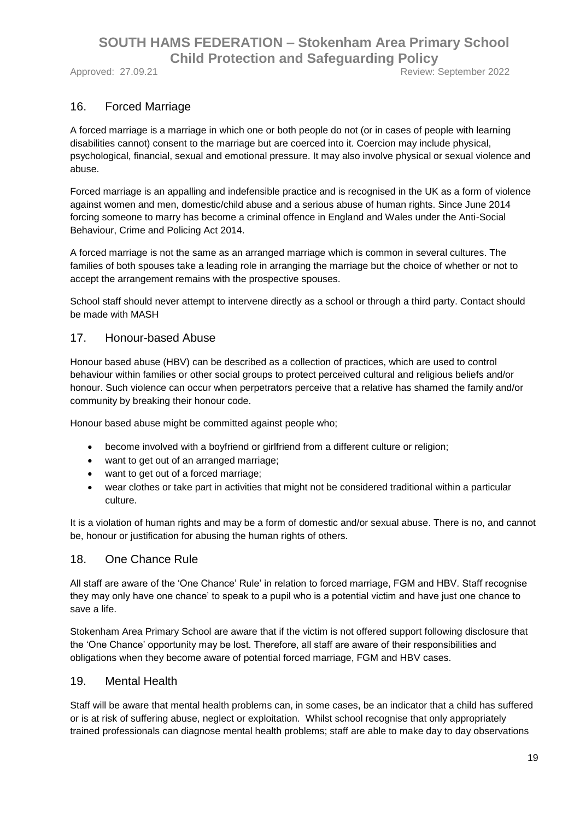Approved: 27.09.21 **Review: September 2022** 

#### 16. Forced Marriage

A forced marriage is a marriage in which one or both people do not (or in cases of people with learning disabilities cannot) consent to the marriage but are coerced into it. Coercion may include physical, psychological, financial, sexual and emotional pressure. It may also involve physical or sexual violence and abuse.

Forced marriage is an appalling and indefensible practice and is recognised in the UK as a form of violence against women and men, domestic/child abuse and a serious abuse of human rights. Since June 2014 forcing someone to marry has become a criminal offence in England and Wales under the Anti-Social Behaviour, Crime and Policing Act 2014.

A forced marriage is not the same as an arranged marriage which is common in several cultures. The families of both spouses take a leading role in arranging the marriage but the choice of whether or not to accept the arrangement remains with the prospective spouses.

School staff should never attempt to intervene directly as a school or through a third party. Contact should be made with MASH

#### 17. Honour-based Abuse

Honour based abuse (HBV) can be described as a collection of practices, which are used to control behaviour within families or other social groups to protect perceived cultural and religious beliefs and/or honour. Such violence can occur when perpetrators perceive that a relative has shamed the family and/or community by breaking their honour code.

Honour based abuse might be committed against people who;

- become involved with a boyfriend or girlfriend from a different culture or religion;
- want to get out of an arranged marriage;
- want to get out of a forced marriage;
- wear clothes or take part in activities that might not be considered traditional within a particular culture.

It is a violation of human rights and may be a form of domestic and/or sexual abuse. There is no, and cannot be, honour or justification for abusing the human rights of others.

#### 18. One Chance Rule

All staff are aware of the 'One Chance' Rule' in relation to forced marriage, FGM and HBV. Staff recognise they may only have one chance' to speak to a pupil who is a potential victim and have just one chance to save a life.

Stokenham Area Primary School are aware that if the victim is not offered support following disclosure that the 'One Chance' opportunity may be lost. Therefore, all staff are aware of their responsibilities and obligations when they become aware of potential forced marriage, FGM and HBV cases.

#### 19. Mental Health

Staff will be aware that mental health problems can, in some cases, be an indicator that a child has suffered or is at risk of suffering abuse, neglect or exploitation. Whilst school recognise that only appropriately trained professionals can diagnose mental health problems; staff are able to make day to day observations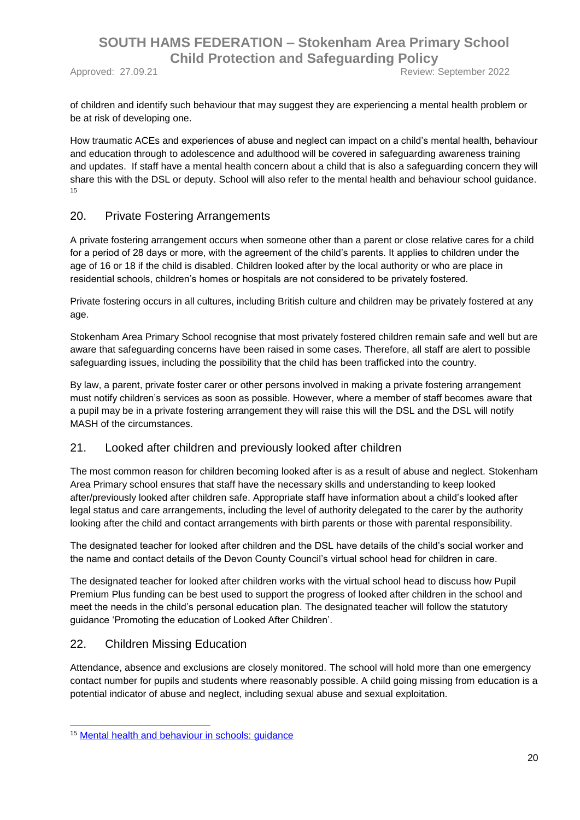of children and identify such behaviour that may suggest they are experiencing a mental health problem or be at risk of developing one.

How traumatic ACEs and experiences of abuse and neglect can impact on a child's mental health, behaviour and education through to adolescence and adulthood will be covered in safeguarding awareness training and updates. If staff have a mental health concern about a child that is also a safeguarding concern they will share this with the DSL or deputy. School will also refer to the mental health and behaviour school guidance. 15

#### 20. Private Fostering Arrangements

A private fostering arrangement occurs when someone other than a parent or close relative cares for a child for a period of 28 days or more, with the agreement of the child's parents. It applies to children under the age of 16 or 18 if the child is disabled. Children looked after by the local authority or who are place in residential schools, children's homes or hospitals are not considered to be privately fostered.

Private fostering occurs in all cultures, including British culture and children may be privately fostered at any age.

Stokenham Area Primary School recognise that most privately fostered children remain safe and well but are aware that safeguarding concerns have been raised in some cases. Therefore, all staff are alert to possible safeguarding issues, including the possibility that the child has been trafficked into the country.

By law, a parent, private foster carer or other persons involved in making a private fostering arrangement must notify children's services as soon as possible. However, where a member of staff becomes aware that a pupil may be in a private fostering arrangement they will raise this will the DSL and the DSL will notify MASH of the circumstances.

#### 21. Looked after children and previously looked after children

The most common reason for children becoming looked after is as a result of abuse and neglect. Stokenham Area Primary school ensures that staff have the necessary skills and understanding to keep looked after/previously looked after children safe. Appropriate staff have information about a child's looked after legal status and care arrangements, including the level of authority delegated to the carer by the authority looking after the child and contact arrangements with birth parents or those with parental responsibility.

The designated teacher for looked after children and the DSL have details of the child's social worker and the name and contact details of the Devon County Council's virtual school head for children in care.

The designated teacher for looked after children works with the virtual school head to discuss how Pupil Premium Plus funding can be best used to support the progress of looked after children in the school and meet the needs in the child's personal education plan. The designated teacher will follow the statutory guidance 'Promoting the education of Looked After Children'.

#### 22. Children Missing Education

1

Attendance, absence and exclusions are closely monitored. The school will hold more than one emergency contact number for pupils and students where reasonably possible. A child going missing from education is a potential indicator of abuse and neglect, including sexual abuse and sexual exploitation.

<sup>15</sup> [Mental health and behaviour in schools: guidance](https://www.gov.uk/government/publications/mental-health-and-behaviour-in-schools--2)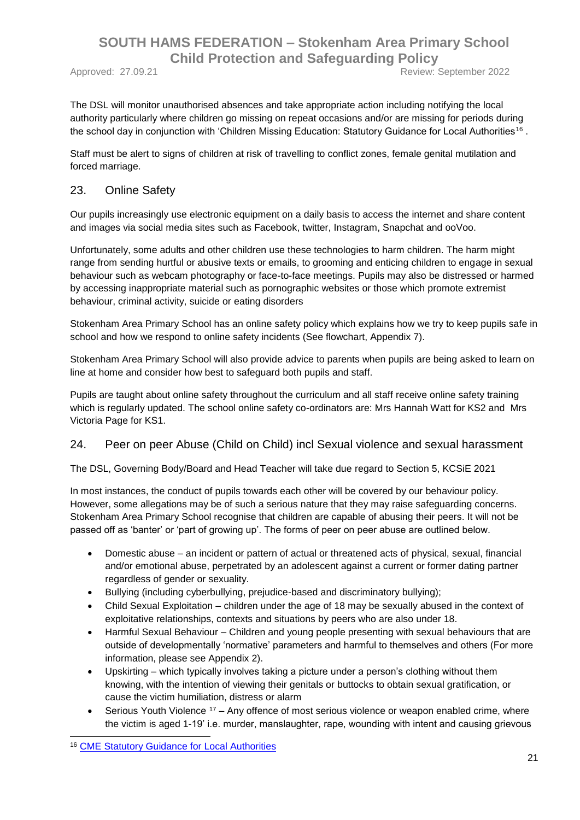Approved: 27.09.21 **Approved: 27.09.21** Review: September 2022

The DSL will monitor unauthorised absences and take appropriate action including notifying the local authority particularly where children go missing on repeat occasions and/or are missing for periods during the school day in conjunction with 'Children Missing Education: Statutory Guidance for Local Authorities<sup>16</sup>.

Staff must be alert to signs of children at risk of travelling to conflict zones, female genital mutilation and forced marriage.

#### 23. Online Safety

Our pupils increasingly use electronic equipment on a daily basis to access the internet and share content and images via social media sites such as Facebook, twitter, Instagram, Snapchat and ooVoo.

Unfortunately, some adults and other children use these technologies to harm children. The harm might range from sending hurtful or abusive texts or emails, to grooming and enticing children to engage in sexual behaviour such as webcam photography or face-to-face meetings. Pupils may also be distressed or harmed by accessing inappropriate material such as pornographic websites or those which promote extremist behaviour, criminal activity, suicide or eating disorders

Stokenham Area Primary School has an online safety policy which explains how we try to keep pupils safe in school and how we respond to online safety incidents (See flowchart, Appendix 7).

Stokenham Area Primary School will also provide advice to parents when pupils are being asked to learn on line at home and consider how best to safeguard both pupils and staff.

Pupils are taught about online safety throughout the curriculum and all staff receive online safety training which is regularly updated. The school online safety co-ordinators are: Mrs Hannah Watt for KS2 and Mrs Victoria Page for KS1.

#### 24. Peer on peer Abuse (Child on Child) incl Sexual violence and sexual harassment

The DSL, Governing Body/Board and Head Teacher will take due regard to Section 5, KCSiE 2021

In most instances, the conduct of pupils towards each other will be covered by our behaviour policy. However, some allegations may be of such a serious nature that they may raise safeguarding concerns. Stokenham Area Primary School recognise that children are capable of abusing their peers. It will not be passed off as 'banter' or 'part of growing up'. The forms of peer on peer abuse are outlined below.

- Domestic abuse an incident or pattern of actual or threatened acts of physical, sexual, financial and/or emotional abuse, perpetrated by an adolescent against a current or former dating partner regardless of gender or sexuality.
- Bullying (including cyberbullying, prejudice-based and discriminatory bullying);
- Child Sexual Exploitation children under the age of 18 may be sexually abused in the context of exploitative relationships, contexts and situations by peers who are also under 18.
- Harmful Sexual Behaviour Children and young people presenting with sexual behaviours that are outside of developmentally 'normative' parameters and harmful to themselves and others (For more information, please see Appendix 2).
- Upskirting which typically involves taking a picture under a person's clothing without them knowing, with the intention of viewing their genitals or buttocks to obtain sexual gratification, or cause the victim humiliation, distress or alarm
- Serious Youth Violence <sup>17</sup> Any offence of most serious violence or weapon enabled crime, where the victim is aged 1-19' i.e. murder, manslaughter, rape, wounding with intent and causing grievous

<sup>1</sup> <sup>16</sup> [CME Statutory Guidance for Local Authorities](https://www.gov.uk/government/uploads/system/uploads/attachment_data/file/550416/Children_Missing_Education_-_statutory_guidance.pdf)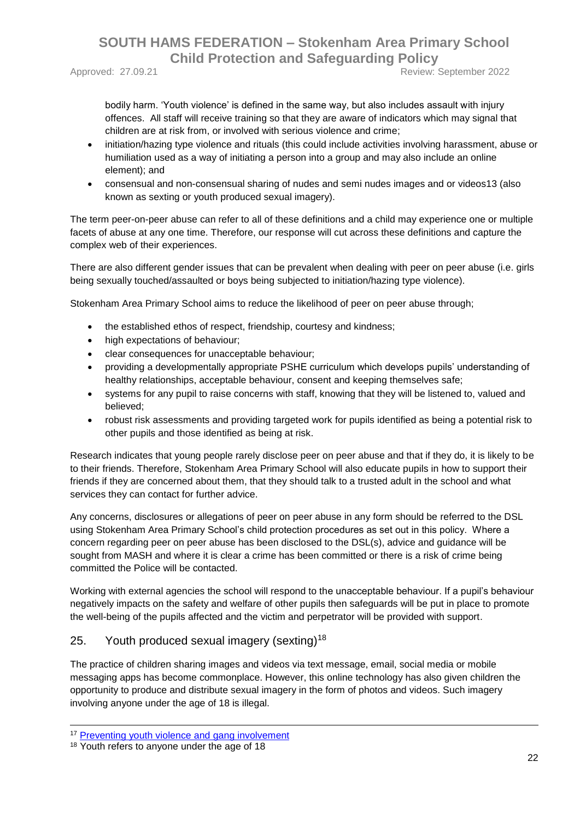Approved: 27.09.21 **Approved: 27.09.21** Review: September 2022

bodily harm. 'Youth violence' is defined in the same way, but also includes assault with injury offences. All staff will receive training so that they are aware of indicators which may signal that children are at risk from, or involved with serious violence and crime;

- initiation/hazing type violence and rituals (this could include activities involving harassment, abuse or humiliation used as a way of initiating a person into a group and may also include an online element); and
- consensual and non-consensual sharing of nudes and semi nudes images and or videos13 (also known as sexting or youth produced sexual imagery).

The term peer-on-peer abuse can refer to all of these definitions and a child may experience one or multiple facets of abuse at any one time. Therefore, our response will cut across these definitions and capture the complex web of their experiences.

There are also different gender issues that can be prevalent when dealing with peer on peer abuse (i.e. girls being sexually touched/assaulted or boys being subjected to initiation/hazing type violence).

Stokenham Area Primary School aims to reduce the likelihood of peer on peer abuse through;

- the established ethos of respect, friendship, courtesy and kindness;
- high expectations of behaviour;
- clear consequences for unacceptable behaviour;
- providing a developmentally appropriate PSHE curriculum which develops pupils' understanding of healthy relationships, acceptable behaviour, consent and keeping themselves safe;
- systems for any pupil to raise concerns with staff, knowing that they will be listened to, valued and believed;
- robust risk assessments and providing targeted work for pupils identified as being a potential risk to other pupils and those identified as being at risk.

Research indicates that young people rarely disclose peer on peer abuse and that if they do, it is likely to be to their friends. Therefore, Stokenham Area Primary School will also educate pupils in how to support their friends if they are concerned about them, that they should talk to a trusted adult in the school and what services they can contact for further advice.

Any concerns, disclosures or allegations of peer on peer abuse in any form should be referred to the DSL using Stokenham Area Primary School's child protection procedures as set out in this policy. Where a concern regarding peer on peer abuse has been disclosed to the DSL(s), advice and guidance will be sought from MASH and where it is clear a crime has been committed or there is a risk of crime being committed the Police will be contacted.

Working with external agencies the school will respond to the unacceptable behaviour. If a pupil's behaviour negatively impacts on the safety and welfare of other pupils then safeguards will be put in place to promote the well-being of the pupils affected and the victim and perpetrator will be provided with support.

#### 25. Youth produced sexual imagery (sexting)<sup>18</sup>

The practice of children sharing images and videos via text message, email, social media or mobile messaging apps has become commonplace. However, this online technology has also given children the opportunity to produce and distribute sexual imagery in the form of photos and videos. Such imagery involving anyone under the age of 18 is illegal.

1

<sup>&</sup>lt;sup>17</sup> [Preventing youth violence and gang involvement](https://assets.publishing.service.gov.uk/government/uploads/system/uploads/attachment_data/file/418131/Preventing_youth_violence_and_gang_involvement_v3_March2015.pdf)

<sup>&</sup>lt;sup>18</sup> Youth refers to anyone under the age of 18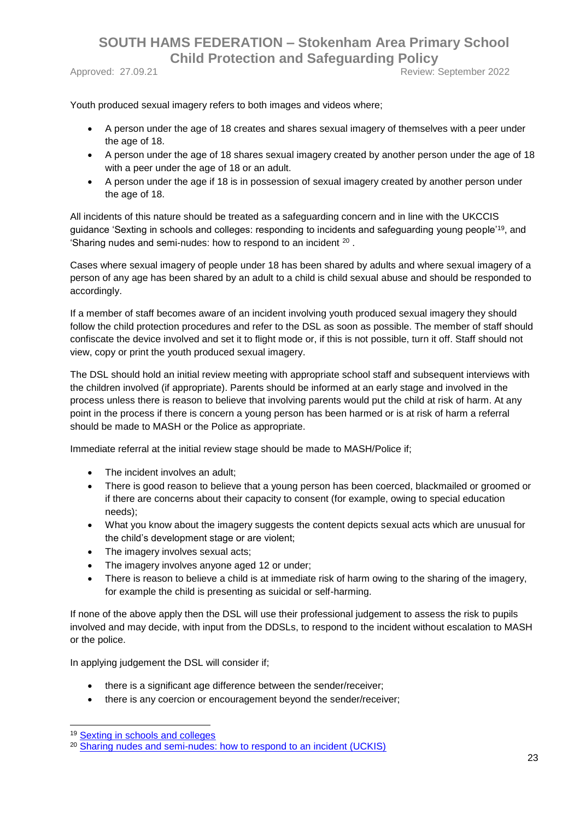Approved: 27.09.21 **Approved: 27.09.21** Review: September 2022

Youth produced sexual imagery refers to both images and videos where;

- A person under the age of 18 creates and shares sexual imagery of themselves with a peer under the age of 18.
- A person under the age of 18 shares sexual imagery created by another person under the age of 18 with a peer under the age of 18 or an adult.
- A person under the age if 18 is in possession of sexual imagery created by another person under the age of 18.

All incidents of this nature should be treated as a safeguarding concern and in line with the UKCCIS guidance 'Sexting in schools and colleges: responding to incidents and safeguarding young people'<sup>19</sup>, and 'Sharing nudes and semi-nudes: how to respond to an incident  $20$ .

Cases where sexual imagery of people under 18 has been shared by adults and where sexual imagery of a person of any age has been shared by an adult to a child is child sexual abuse and should be responded to accordingly.

If a member of staff becomes aware of an incident involving youth produced sexual imagery they should follow the child protection procedures and refer to the DSL as soon as possible. The member of staff should confiscate the device involved and set it to flight mode or, if this is not possible, turn it off. Staff should not view, copy or print the youth produced sexual imagery.

The DSL should hold an initial review meeting with appropriate school staff and subsequent interviews with the children involved (if appropriate). Parents should be informed at an early stage and involved in the process unless there is reason to believe that involving parents would put the child at risk of harm. At any point in the process if there is concern a young person has been harmed or is at risk of harm a referral should be made to MASH or the Police as appropriate.

Immediate referral at the initial review stage should be made to MASH/Police if;

- The incident involves an adult;
- There is good reason to believe that a young person has been coerced, blackmailed or groomed or if there are concerns about their capacity to consent (for example, owing to special education needs);
- What you know about the imagery suggests the content depicts sexual acts which are unusual for the child's development stage or are violent;
- The imagery involves sexual acts;
- The imagery involves anyone aged 12 or under;
- There is reason to believe a child is at immediate risk of harm owing to the sharing of the imagery, for example the child is presenting as suicidal or self-harming.

If none of the above apply then the DSL will use their professional judgement to assess the risk to pupils involved and may decide, with input from the DDSLs, to respond to the incident without escalation to MASH or the police.

In applying judgement the DSL will consider if;

- there is a significant age difference between the sender/receiver;
- there is any coercion or encouragement beyond the sender/receiver:

1

<sup>19</sup> [Sexting in schools and colleges](https://www.gov.uk/government/groups/uk-council-for-child-internet-safety-ukccis)

<sup>&</sup>lt;sup>20</sup> Sharing nudes and semi-nudes: how to respond to an incident (UCKIS)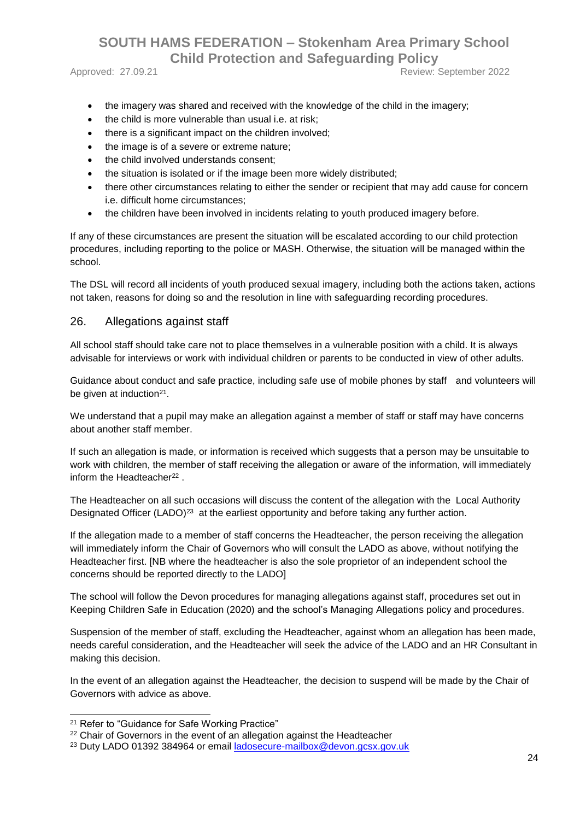Approved: 27.09.21 **Approved: 27.09.21** Review: September 2022

- the imagery was shared and received with the knowledge of the child in the imagery;
- the child is more vulnerable than usual i.e. at risk;
- there is a significant impact on the children involved;
- the image is of a severe or extreme nature:
- the child involved understands consent;
- the situation is isolated or if the image been more widely distributed;
- there other circumstances relating to either the sender or recipient that may add cause for concern i.e. difficult home circumstances;
- the children have been involved in incidents relating to youth produced imagery before.

If any of these circumstances are present the situation will be escalated according to our child protection procedures, including reporting to the police or MASH. Otherwise, the situation will be managed within the school.

The DSL will record all incidents of youth produced sexual imagery, including both the actions taken, actions not taken, reasons for doing so and the resolution in line with safeguarding recording procedures.

#### 26. Allegations against staff

All school staff should take care not to place themselves in a vulnerable position with a child. It is always advisable for interviews or work with individual children or parents to be conducted in view of other adults.

Guidance about conduct and safe practice, including safe use of mobile phones by staff and volunteers will be given at induction $21$ .

We understand that a pupil may make an allegation against a member of staff or staff may have concerns about another staff member.

If such an allegation is made, or information is received which suggests that a person may be unsuitable to work with children, the member of staff receiving the allegation or aware of the information, will immediately inform the Headteacher<sup>22</sup>.

The Headteacher on all such occasions will discuss the content of the allegation with the Local Authority Designated Officer (LADO)<sup>23</sup> at the earliest opportunity and before taking any further action.

If the allegation made to a member of staff concerns the Headteacher, the person receiving the allegation will immediately inform the Chair of Governors who will consult the LADO as above, without notifying the Headteacher first. [NB where the headteacher is also the sole proprietor of an independent school the concerns should be reported directly to the LADO]

The school will follow the Devon procedures for managing allegations against staff, procedures set out in Keeping Children Safe in Education (2020) and the school's Managing Allegations policy and procedures.

Suspension of the member of staff, excluding the Headteacher, against whom an allegation has been made, needs careful consideration, and the Headteacher will seek the advice of the LADO and an HR Consultant in making this decision.

In the event of an allegation against the Headteacher, the decision to suspend will be made by the Chair of Governors with advice as above.

-

<sup>&</sup>lt;sup>21</sup> Refer to "Guidance for Safe Working Practice"

<sup>&</sup>lt;sup>22</sup> Chair of Governors in the event of an allegation against the Headteacher

<sup>23</sup> Duty LADO 01392 384964 or email [ladosecure-mailbox@devon.gcsx.gov.uk](mailto:ladosecure-mailbox@devon.gcsx.gov.uk)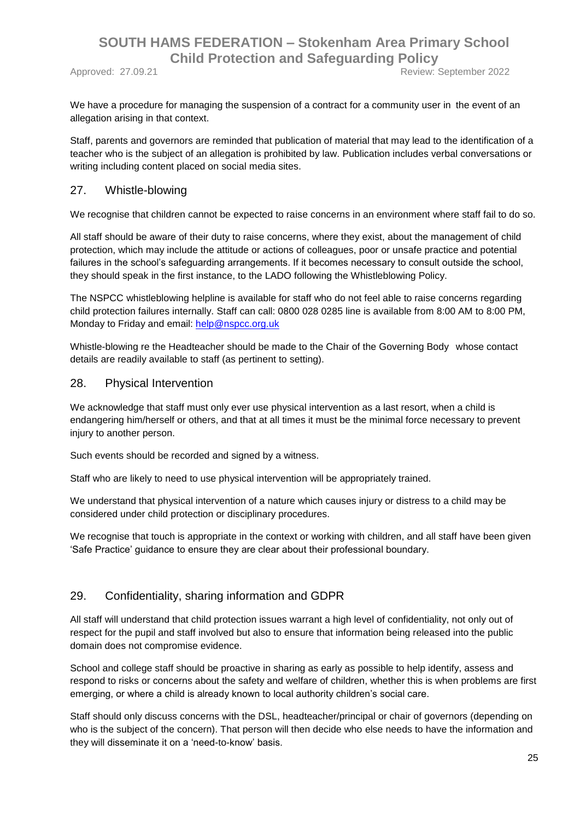Approved: 27.09.21 Review: September 2022

We have a procedure for managing the suspension of a contract for a community user in the event of an allegation arising in that context.

Staff, parents and governors are reminded that publication of material that may lead to the identification of a teacher who is the subject of an allegation is prohibited by law. Publication includes verbal conversations or writing including content placed on social media sites.

#### 27. Whistle-blowing

We recognise that children cannot be expected to raise concerns in an environment where staff fail to do so.

All staff should be aware of their duty to raise concerns, where they exist, about the management of child protection, which may include the attitude or actions of colleagues, poor or unsafe practice and potential failures in the school's safeguarding arrangements. If it becomes necessary to consult outside the school, they should speak in the first instance, to the LADO following the Whistleblowing Policy.

The NSPCC whistleblowing helpline is available for staff who do not feel able to raise concerns regarding child protection failures internally. Staff can call: 0800 028 0285 line is available from 8:00 AM to 8:00 PM, Monday to Friday and email: [help@nspcc.org.uk](mailto:help@nspcc.org.uk)

Whistle-blowing re the Headteacher should be made to the Chair of the Governing Body whose contact details are readily available to staff (as pertinent to setting).

#### 28. Physical Intervention

We acknowledge that staff must only ever use physical intervention as a last resort, when a child is endangering him/herself or others, and that at all times it must be the minimal force necessary to prevent injury to another person.

Such events should be recorded and signed by a witness.

Staff who are likely to need to use physical intervention will be appropriately trained.

We understand that physical intervention of a nature which causes injury or distress to a child may be considered under child protection or disciplinary procedures.

We recognise that touch is appropriate in the context or working with children, and all staff have been given 'Safe Practice' guidance to ensure they are clear about their professional boundary.

#### 29. Confidentiality, sharing information and GDPR

All staff will understand that child protection issues warrant a high level of confidentiality, not only out of respect for the pupil and staff involved but also to ensure that information being released into the public domain does not compromise evidence.

School and college staff should be proactive in sharing as early as possible to help identify, assess and respond to risks or concerns about the safety and welfare of children, whether this is when problems are first emerging, or where a child is already known to local authority children's social care.

Staff should only discuss concerns with the DSL, headteacher/principal or chair of governors (depending on who is the subject of the concern). That person will then decide who else needs to have the information and they will disseminate it on a 'need-to-know' basis.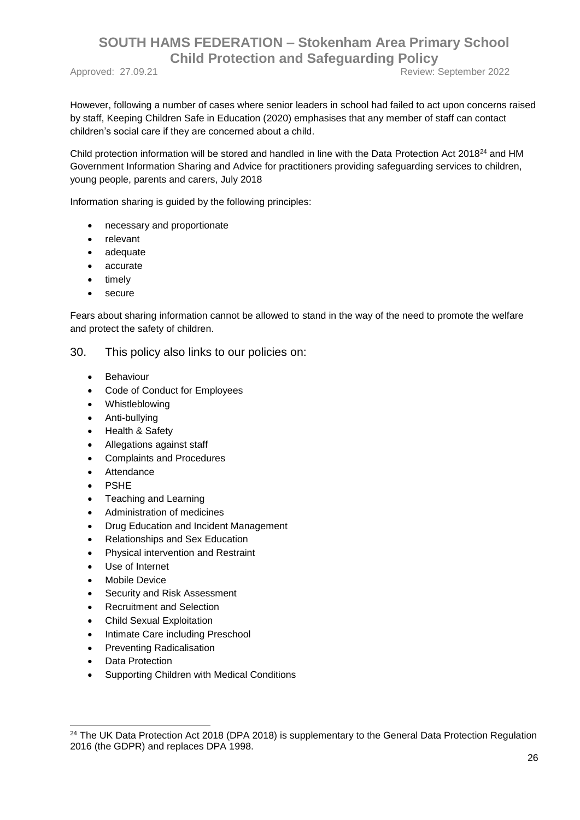Approved: 27.09.21 **Review: September 2022** 

However, following a number of cases where senior leaders in school had failed to act upon concerns raised by staff, Keeping Children Safe in Education (2020) emphasises that any member of staff can contact children's social care if they are concerned about a child.

Child protection information will be stored and handled in line with the Data Protection Act 2018<sup>24</sup> and HM Government Information Sharing and Advice for practitioners providing safeguarding services to children, young people, parents and carers, July 2018

Information sharing is guided by the following principles:

- necessary and proportionate
- relevant
- adequate
- accurate
- timely
- secure

Fears about sharing information cannot be allowed to stand in the way of the need to promote the welfare and protect the safety of children.

30. This policy also links to our policies on:

- Behaviour
- Code of Conduct for Employees
- Whistleblowing
- Anti-bullying
- Health & Safety
- Allegations against staff
- Complaints and Procedures
- Attendance
- PSHE
- Teaching and Learning
- Administration of medicines
- Drug Education and Incident Management
- Relationships and Sex Education
- Physical intervention and Restraint
- Use of Internet
- Mobile Device
- Security and Risk Assessment
- Recruitment and Selection
- Child Sexual Exploitation
- Intimate Care including Preschool
- Preventing Radicalisation
- Data Protection

1

Supporting Children with Medical Conditions

<sup>&</sup>lt;sup>24</sup> The UK Data Protection Act 2018 (DPA 2018) is supplementary to the General Data Protection Regulation 2016 (the GDPR) and replaces DPA 1998.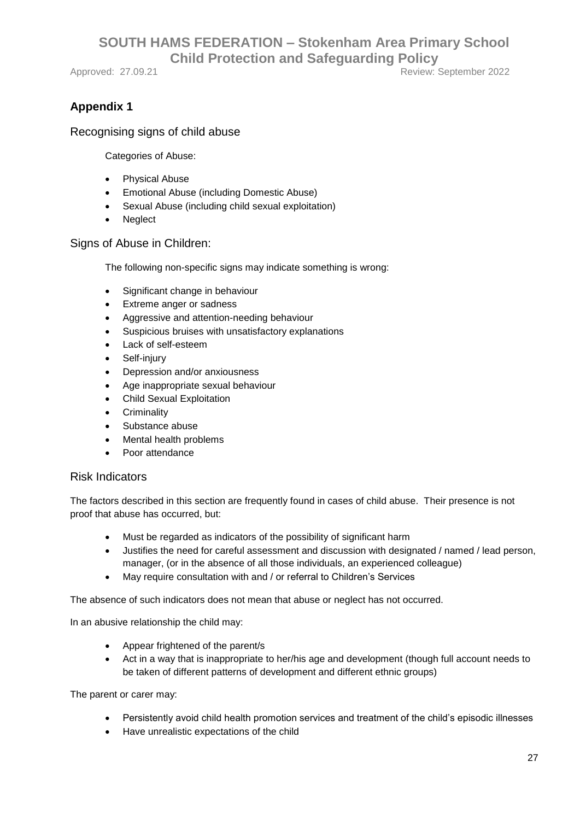Approved: 27.09.21 **Approved: 27.09.21** Review: September 2022

## **Appendix 1**

#### Recognising signs of child abuse

Categories of Abuse:

- Physical Abuse
- Emotional Abuse (including Domestic Abuse)
- Sexual Abuse (including child sexual exploitation)
- Neglect

Signs of Abuse in Children:

The following non-specific signs may indicate something is wrong:

- Significant change in behaviour
- Extreme anger or sadness
- Aggressive and attention-needing behaviour
- Suspicious bruises with unsatisfactory explanations
- Lack of self-esteem
- Self-injury
- Depression and/or anxiousness
- Age inappropriate sexual behaviour
- Child Sexual Exploitation
- **Criminality**
- Substance abuse
- Mental health problems
- Poor attendance

#### Risk Indicators

The factors described in this section are frequently found in cases of child abuse. Their presence is not proof that abuse has occurred, but:

- Must be regarded as indicators of the possibility of significant harm
- Justifies the need for careful assessment and discussion with designated / named / lead person, manager, (or in the absence of all those individuals, an experienced colleague)
- May require consultation with and / or referral to Children's Services

The absence of such indicators does not mean that abuse or neglect has not occurred.

In an abusive relationship the child may:

- Appear frightened of the parent/s
- Act in a way that is inappropriate to her/his age and development (though full account needs to be taken of different patterns of development and different ethnic groups)

The parent or carer may:

- Persistently avoid child health promotion services and treatment of the child's episodic illnesses
- Have unrealistic expectations of the child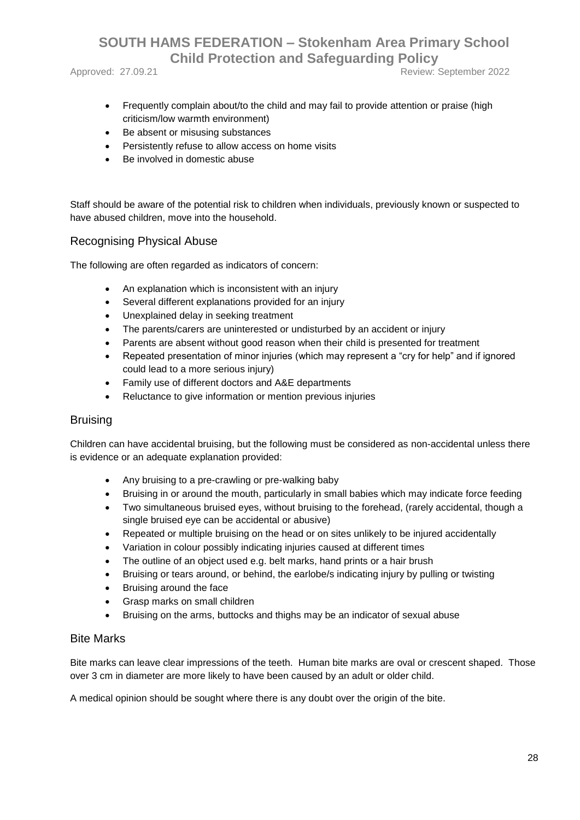Approved: 27.09.21 **Approved: 27.09.21** Review: September 2022

- Frequently complain about/to the child and may fail to provide attention or praise (high criticism/low warmth environment)
- Be absent or misusing substances
- Persistently refuse to allow access on home visits
- Be involved in domestic abuse

Staff should be aware of the potential risk to children when individuals, previously known or suspected to have abused children, move into the household.

#### Recognising Physical Abuse

The following are often regarded as indicators of concern:

- An explanation which is inconsistent with an injury
- Several different explanations provided for an injury
- Unexplained delay in seeking treatment
- The parents/carers are uninterested or undisturbed by an accident or injury
- Parents are absent without good reason when their child is presented for treatment
- Repeated presentation of minor injuries (which may represent a "cry for help" and if ignored could lead to a more serious injury)
- Family use of different doctors and A&E departments
- Reluctance to give information or mention previous injuries

#### **Bruising**

Children can have accidental bruising, but the following must be considered as non-accidental unless there is evidence or an adequate explanation provided:

- Any bruising to a pre-crawling or pre-walking baby
- Bruising in or around the mouth, particularly in small babies which may indicate force feeding
- Two simultaneous bruised eyes, without bruising to the forehead, (rarely accidental, though a single bruised eye can be accidental or abusive)
- Repeated or multiple bruising on the head or on sites unlikely to be injured accidentally
- Variation in colour possibly indicating injuries caused at different times
- The outline of an object used e.g. belt marks, hand prints or a hair brush
- Bruising or tears around, or behind, the earlobe/s indicating injury by pulling or twisting
- Bruising around the face
- Grasp marks on small children
- Bruising on the arms, buttocks and thighs may be an indicator of sexual abuse

#### Bite Marks

Bite marks can leave clear impressions of the teeth. Human bite marks are oval or crescent shaped. Those over 3 cm in diameter are more likely to have been caused by an adult or older child.

A medical opinion should be sought where there is any doubt over the origin of the bite.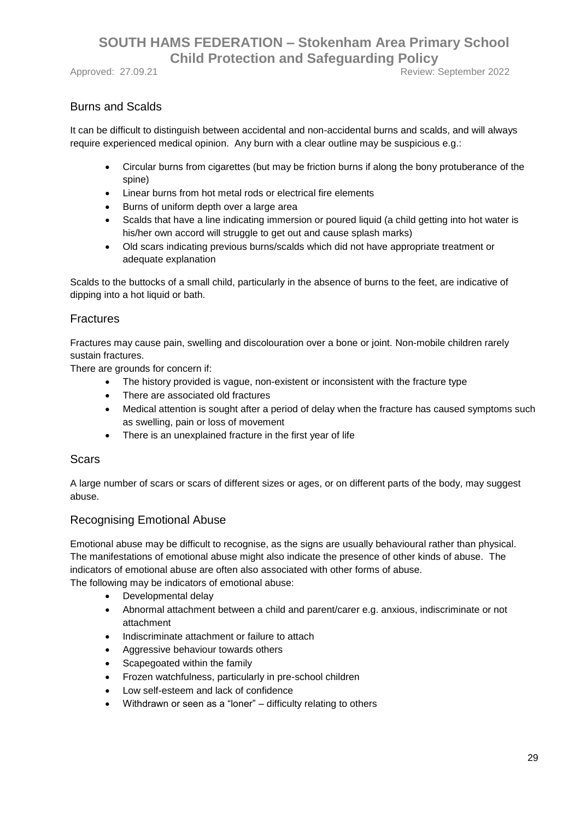#### Burns and Scalds

It can be difficult to distinguish between accidental and non-accidental burns and scalds, and will always require experienced medical opinion. Any burn with a clear outline may be suspicious e.g.:

- Circular burns from cigarettes (but may be friction burns if along the bony protuberance of the spine)
- Linear burns from hot metal rods or electrical fire elements
- Burns of uniform depth over a large area
- Scalds that have a line indicating immersion or poured liquid (a child getting into hot water is his/her own accord will struggle to get out and cause splash marks)
- Old scars indicating previous burns/scalds which did not have appropriate treatment or adequate explanation

Scalds to the buttocks of a small child, particularly in the absence of burns to the feet, are indicative of dipping into a hot liquid or bath.

#### **Fractures**

Fractures may cause pain, swelling and discolouration over a bone or joint. Non-mobile children rarely sustain fractures.

There are grounds for concern if:

- The history provided is vague, non-existent or inconsistent with the fracture type
- There are associated old fractures
- Medical attention is sought after a period of delay when the fracture has caused symptoms such as swelling, pain or loss of movement
- There is an unexplained fracture in the first year of life

#### Scars

A large number of scars or scars of different sizes or ages, or on different parts of the body, may suggest abuse.

#### Recognising Emotional Abuse

Emotional abuse may be difficult to recognise, as the signs are usually behavioural rather than physical. The manifestations of emotional abuse might also indicate the presence of other kinds of abuse. The indicators of emotional abuse are often also associated with other forms of abuse. The following may be indicators of emotional abuse:

- Developmental delay
- Abnormal attachment between a child and parent/carer e.g. anxious, indiscriminate or not attachment
- Indiscriminate attachment or failure to attach
- Aggressive behaviour towards others
- Scapegoated within the family
- Frozen watchfulness, particularly in pre-school children
- Low self-esteem and lack of confidence
- Withdrawn or seen as a "loner" difficulty relating to others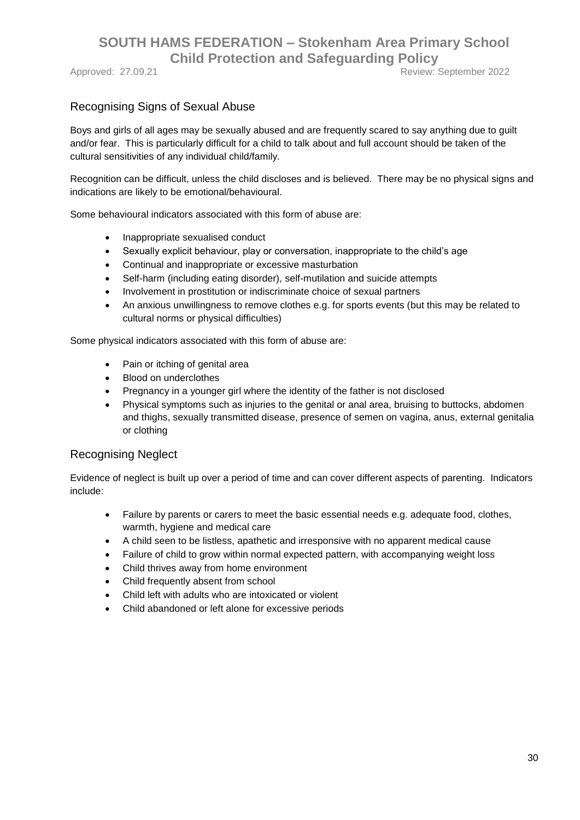Approved: 27.09.21 **Approved: 2022** 

#### Recognising Signs of Sexual Abuse

Boys and girls of all ages may be sexually abused and are frequently scared to say anything due to guilt and/or fear. This is particularly difficult for a child to talk about and full account should be taken of the cultural sensitivities of any individual child/family.

Recognition can be difficult, unless the child discloses and is believed. There may be no physical signs and indications are likely to be emotional/behavioural.

Some behavioural indicators associated with this form of abuse are:

- Inappropriate sexualised conduct
- Sexually explicit behaviour, play or conversation, inappropriate to the child's age
- Continual and inappropriate or excessive masturbation
- Self-harm (including eating disorder), self-mutilation and suicide attempts
- Involvement in prostitution or indiscriminate choice of sexual partners
- An anxious unwillingness to remove clothes e.g. for sports events (but this may be related to cultural norms or physical difficulties)

Some physical indicators associated with this form of abuse are:

- Pain or itching of genital area
- Blood on underclothes
- Pregnancy in a younger girl where the identity of the father is not disclosed
- Physical symptoms such as injuries to the genital or anal area, bruising to buttocks, abdomen and thighs, sexually transmitted disease, presence of semen on vagina, anus, external genitalia or clothing

#### Recognising Neglect

Evidence of neglect is built up over a period of time and can cover different aspects of parenting. Indicators include:

- Failure by parents or carers to meet the basic essential needs e.g. adequate food, clothes, warmth, hygiene and medical care
- A child seen to be listless, apathetic and irresponsive with no apparent medical cause
- Failure of child to grow within normal expected pattern, with accompanying weight loss
- Child thrives away from home environment
- Child frequently absent from school
- Child left with adults who are intoxicated or violent
- Child abandoned or left alone for excessive periods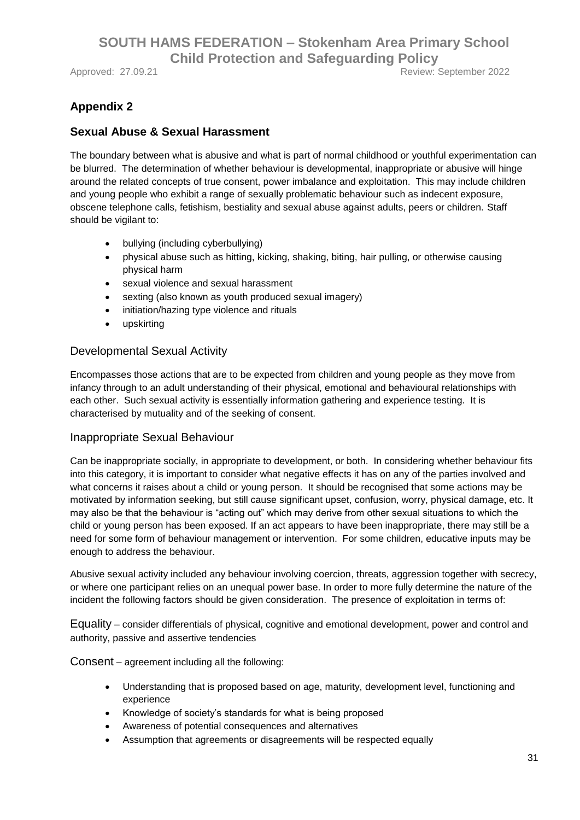Approved: 27.09.21 **Approved: 27.09.21** Review: September 2022

## **Appendix 2**

#### **Sexual Abuse & Sexual Harassment**

The boundary between what is abusive and what is part of normal childhood or youthful experimentation can be blurred. The determination of whether behaviour is developmental, inappropriate or abusive will hinge around the related concepts of true consent, power imbalance and exploitation. This may include children and young people who exhibit a range of sexually problematic behaviour such as indecent exposure, obscene telephone calls, fetishism, bestiality and sexual abuse against adults, peers or children. Staff should be vigilant to:

- bullying (including cyberbullying)
- physical abuse such as hitting, kicking, shaking, biting, hair pulling, or otherwise causing physical harm
- sexual violence and sexual harassment
- sexting (also known as youth produced sexual imagery)
- initiation/hazing type violence and rituals
- upskirting

#### Developmental Sexual Activity

Encompasses those actions that are to be expected from children and young people as they move from infancy through to an adult understanding of their physical, emotional and behavioural relationships with each other. Such sexual activity is essentially information gathering and experience testing. It is characterised by mutuality and of the seeking of consent.

#### Inappropriate Sexual Behaviour

Can be inappropriate socially, in appropriate to development, or both. In considering whether behaviour fits into this category, it is important to consider what negative effects it has on any of the parties involved and what concerns it raises about a child or young person. It should be recognised that some actions may be motivated by information seeking, but still cause significant upset, confusion, worry, physical damage, etc. It may also be that the behaviour is "acting out" which may derive from other sexual situations to which the child or young person has been exposed. If an act appears to have been inappropriate, there may still be a need for some form of behaviour management or intervention. For some children, educative inputs may be enough to address the behaviour.

Abusive sexual activity included any behaviour involving coercion, threats, aggression together with secrecy, or where one participant relies on an unequal power base. In order to more fully determine the nature of the incident the following factors should be given consideration. The presence of exploitation in terms of:

Equality – consider differentials of physical, cognitive and emotional development, power and control and authority, passive and assertive tendencies

Consent – agreement including all the following:

- Understanding that is proposed based on age, maturity, development level, functioning and experience
- Knowledge of society's standards for what is being proposed
- Awareness of potential consequences and alternatives
- Assumption that agreements or disagreements will be respected equally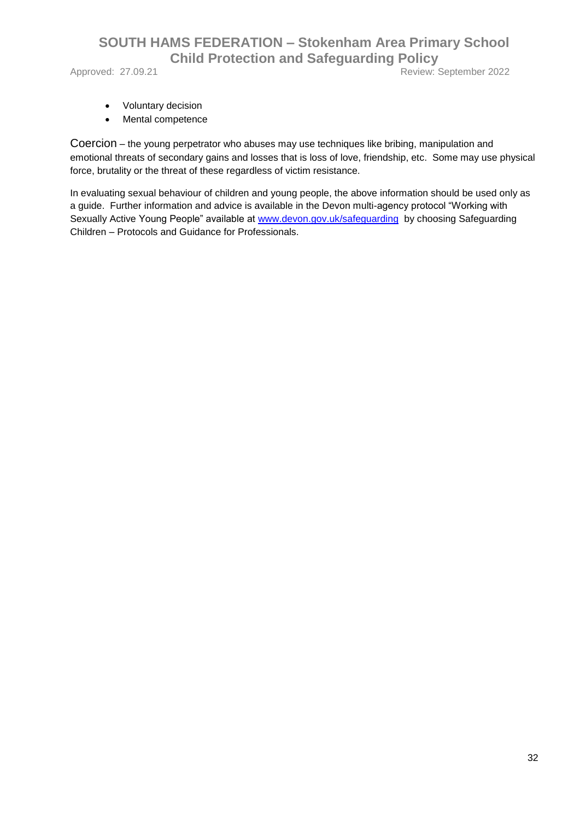Approved: 27.09.21 Review: September 2022

- Voluntary decision
- Mental competence

Coercion – the young perpetrator who abuses may use techniques like bribing, manipulation and emotional threats of secondary gains and losses that is loss of love, friendship, etc. Some may use physical force, brutality or the threat of these regardless of victim resistance.

In evaluating sexual behaviour of children and young people, the above information should be used only as a guide. Further information and advice is available in the Devon multi-agency protocol "Working with Sexually Active Young People" available at [www.devon.gov.uk/safeguarding](http://www.devon.gov.uk/safeguarding) by choosing Safeguarding Children – Protocols and Guidance for Professionals.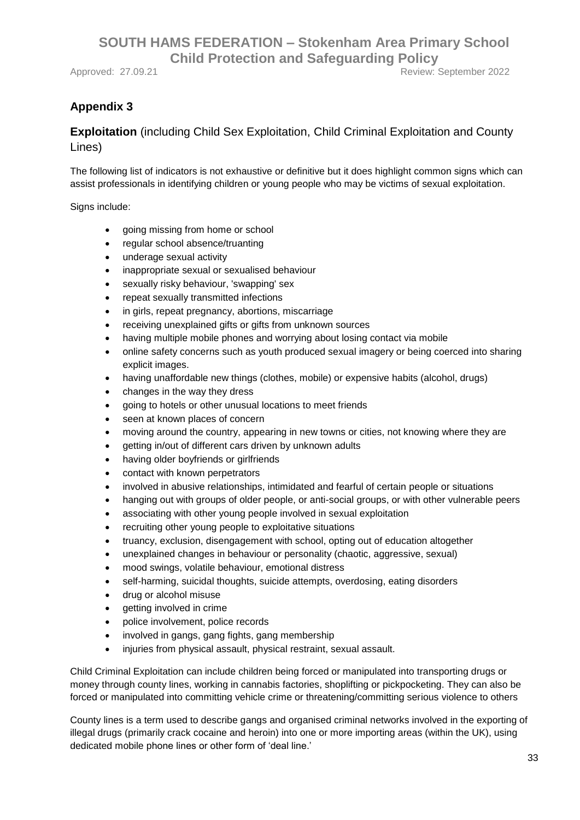## **Appendix 3**

#### **Exploitation** (including Child Sex Exploitation, Child Criminal Exploitation and County Lines)

The following list of indicators is not exhaustive or definitive but it does highlight common signs which can assist professionals in identifying children or young people who may be victims of sexual exploitation.

Signs include:

- going missing from home or school
- regular school absence/truanting
- underage sexual activity
- inappropriate sexual or sexualised behaviour
- sexually risky behaviour, 'swapping' sex
- repeat sexually transmitted infections
- in girls, repeat pregnancy, abortions, miscarriage
- receiving unexplained gifts or gifts from unknown sources
- having multiple mobile phones and worrying about losing contact via mobile
- online safety concerns such as youth produced sexual imagery or being coerced into sharing explicit images.
- having unaffordable new things (clothes, mobile) or expensive habits (alcohol, drugs)
- changes in the way they dress
- going to hotels or other unusual locations to meet friends
- seen at known places of concern
- moving around the country, appearing in new towns or cities, not knowing where they are
- getting in/out of different cars driven by unknown adults
- having older boyfriends or girlfriends
- contact with known perpetrators
- involved in abusive relationships, intimidated and fearful of certain people or situations
- hanging out with groups of older people, or anti-social groups, or with other vulnerable peers
- associating with other young people involved in sexual exploitation
- recruiting other young people to exploitative situations
- truancy, exclusion, disengagement with school, opting out of education altogether
- unexplained changes in behaviour or personality (chaotic, aggressive, sexual)
- mood swings, volatile behaviour, emotional distress
- self-harming, suicidal thoughts, suicide attempts, overdosing, eating disorders
- drug or alcohol misuse
- getting involved in crime
- police involvement, police records
- involved in gangs, gang fights, gang membership
- injuries from physical assault, physical restraint, sexual assault.

Child Criminal Exploitation can include children being forced or manipulated into transporting drugs or money through county lines, working in cannabis factories, shoplifting or pickpocketing. They can also be forced or manipulated into committing vehicle crime or threatening/committing serious violence to others

County lines is a term used to describe gangs and organised criminal networks involved in the exporting of illegal drugs (primarily crack cocaine and heroin) into one or more importing areas (within the UK), using dedicated mobile phone lines or other form of 'deal line.'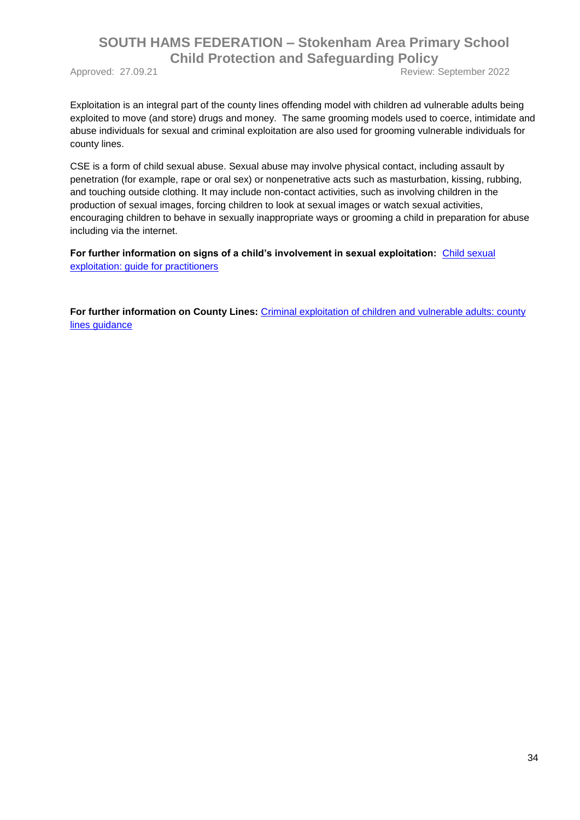Approved: 27.09.21 Review: September 2022

Exploitation is an integral part of the county lines offending model with children ad vulnerable adults being exploited to move (and store) drugs and money. The same grooming models used to coerce, intimidate and abuse individuals for sexual and criminal exploitation are also used for grooming vulnerable individuals for county lines.

CSE is a form of child sexual abuse. Sexual abuse may involve physical contact, including assault by penetration (for example, rape or oral sex) or nonpenetrative acts such as masturbation, kissing, rubbing, and touching outside clothing. It may include non-contact activities, such as involving children in the production of sexual images, forcing children to look at sexual images or watch sexual activities, encouraging children to behave in sexually inappropriate ways or grooming a child in preparation for abuse including via the internet.

For further information on signs of a child's involvement in sexual exploitation: Child sexual [exploitation: guide for practitioners](https://assets.publishing.service.gov.uk/government/uploads/system/uploads/attachment_data/file/591903/CSE_Guidance_Core_Document_13.02.2017.pdf)

**For further information on County Lines:** [Criminal exploitation of children and vulnerable adults: county](https://www.gov.uk/government/publications/criminal-exploitation-of-children-and-vulnerable-adults-county-lines)  [lines guidance](https://www.gov.uk/government/publications/criminal-exploitation-of-children-and-vulnerable-adults-county-lines)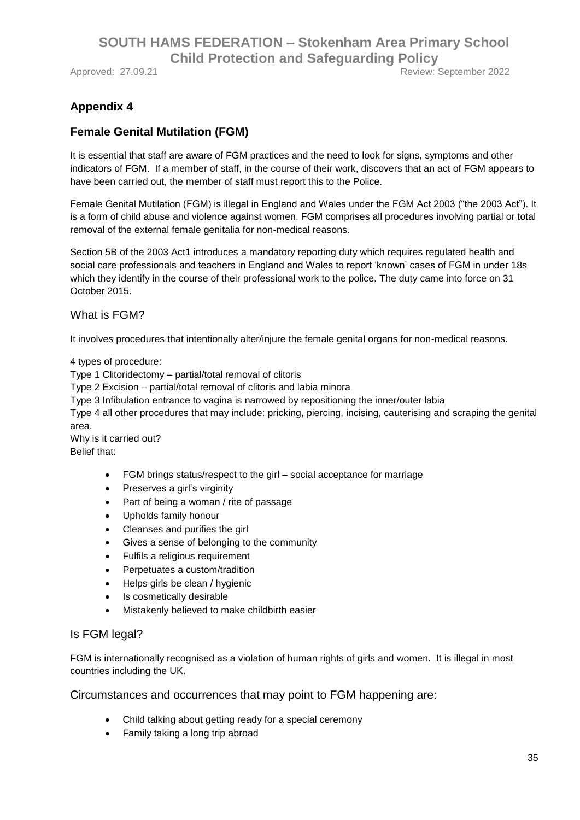Approved: 27.09.21 **Review: September 2022** 

## **Appendix 4**

#### **Female Genital Mutilation (FGM)**

It is essential that staff are aware of FGM practices and the need to look for signs, symptoms and other indicators of FGM. If a member of staff, in the course of their work, discovers that an act of FGM appears to have been carried out, the member of staff must report this to the Police.

Female Genital Mutilation (FGM) is illegal in England and Wales under the FGM Act 2003 ("the 2003 Act"). It is a form of child abuse and violence against women. FGM comprises all procedures involving partial or total removal of the external female genitalia for non-medical reasons.

Section 5B of the 2003 Act1 introduces a mandatory reporting duty which requires regulated health and social care professionals and teachers in England and Wales to report 'known' cases of FGM in under 18s which they identify in the course of their professional work to the police. The duty came into force on 31 October 2015.

What is FGM?

It involves procedures that intentionally alter/injure the female genital organs for non-medical reasons.

4 types of procedure:

Type 1 Clitoridectomy – partial/total removal of clitoris

Type 2 Excision – partial/total removal of clitoris and labia minora

Type 3 Infibulation entrance to vagina is narrowed by repositioning the inner/outer labia

Type 4 all other procedures that may include: pricking, piercing, incising, cauterising and scraping the genital area.

Why is it carried out? Belief that:

- FGM brings status/respect to the girl social acceptance for marriage
- Preserves a girl's virginity
- Part of being a woman / rite of passage
- Upholds family honour
- Cleanses and purifies the girl
- Gives a sense of belonging to the community
- Fulfils a religious requirement
- Perpetuates a custom/tradition
- Helps girls be clean / hygienic
- Is cosmetically desirable
- Mistakenly believed to make childbirth easier

#### Is FGM legal?

FGM is internationally recognised as a violation of human rights of girls and women. It is illegal in most countries including the UK.

Circumstances and occurrences that may point to FGM happening are:

- Child talking about getting ready for a special ceremony
- Family taking a long trip abroad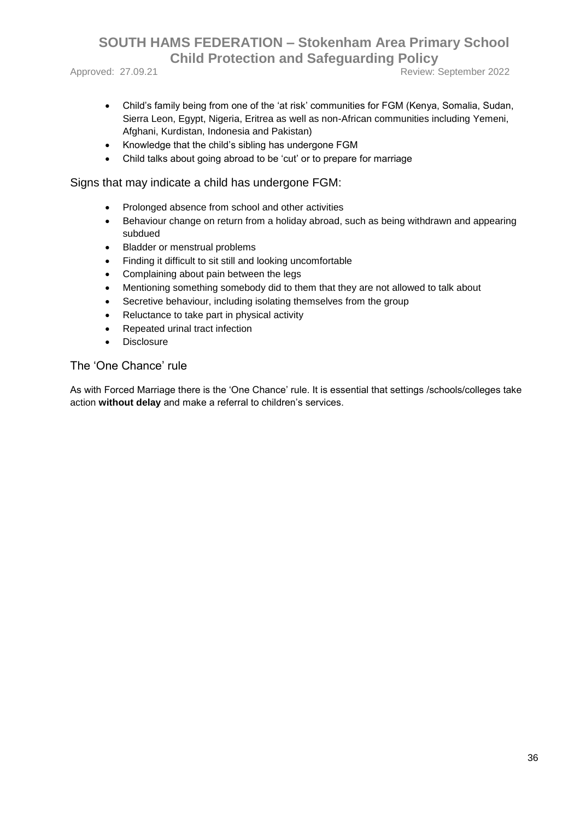Approved: 27.09.21 Review: September 2022

- Child's family being from one of the 'at risk' communities for FGM (Kenya, Somalia, Sudan, Sierra Leon, Egypt, Nigeria, Eritrea as well as non-African communities including Yemeni, Afghani, Kurdistan, Indonesia and Pakistan)
- Knowledge that the child's sibling has undergone FGM
- Child talks about going abroad to be 'cut' or to prepare for marriage

Signs that may indicate a child has undergone FGM:

- Prolonged absence from school and other activities
- Behaviour change on return from a holiday abroad, such as being withdrawn and appearing subdued
- Bladder or menstrual problems
- Finding it difficult to sit still and looking uncomfortable
- Complaining about pain between the legs
- Mentioning something somebody did to them that they are not allowed to talk about
- Secretive behaviour, including isolating themselves from the group
- Reluctance to take part in physical activity
- Repeated urinal tract infection
- **Disclosure**

#### The 'One Chance' rule

As with Forced Marriage there is the 'One Chance' rule. It is essential that settings /schools/colleges take action **without delay** and make a referral to children's services.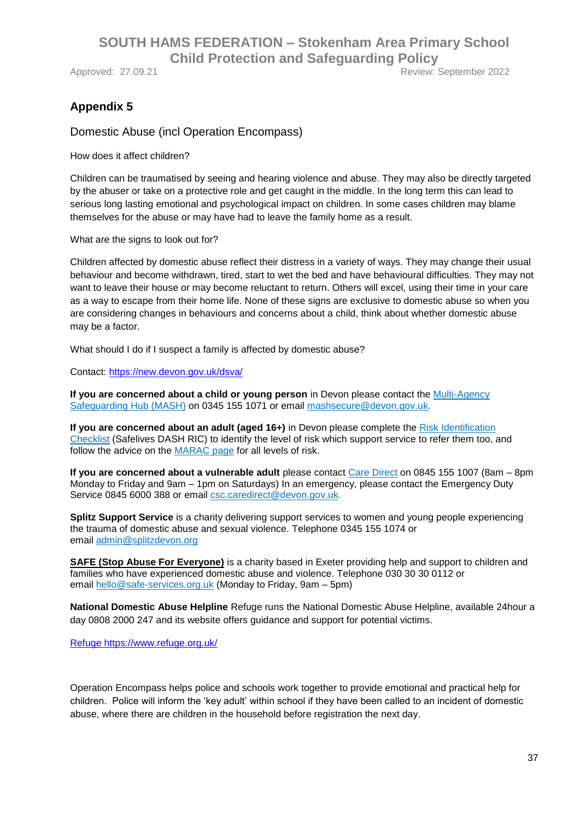Approved: 27.09.21 **Approved: 27.09.21** Review: September 2022

## **Appendix 5**

Domestic Abuse (incl Operation Encompass)

How does it affect children?

Children can be traumatised by seeing and hearing violence and abuse. They may also be directly targeted by the abuser or take on a protective role and get caught in the middle. In the long term this can lead to serious long lasting emotional and psychological impact on children. In some cases children may blame themselves for the abuse or may have had to leave the family home as a result.

What are the signs to look out for?

Children affected by domestic abuse reflect their distress in a variety of ways. They may change their usual behaviour and become withdrawn, tired, start to wet the bed and have behavioural difficulties. They may not want to leave their house or may become reluctant to return. Others will excel, using their time in your care as a way to escape from their home life. None of these signs are exclusive to domestic abuse so when you are considering changes in behaviours and concerns about a child, think about whether domestic abuse may be a factor.

What should I do if I suspect a family is affected by domestic abuse?

Contact:<https://new.devon.gov.uk/dsva/>

**If you are concerned about a child or young person** in Devon please contact the **Multi-Agency** [Safeguarding Hub \(MASH\)](https://www.devon.gov.uk/educationandfamilies/child-protection/making-a-mash-enquiry) on 0345 155 1071 or email [mashsecure@devon.gov.uk.](mailto:mashsecure@devon.gov.uk)

**If you are concerned about an adult (aged 16+)** in Devon please complete the Risk Identification [Checklist](https://new.devon.gov.uk/dsva/files/2014/03/adva-caada-dash-ric-september-2010.pdf) (Safelives DASH RIC) to identify the level of risk which support service to refer them too, and follow the advice on the [MARAC page](https://new.devon.gov.uk/dsva/information-for-professionals/marac/) for all levels of risk.

**If you are concerned about a vulnerable adult** please contact [Care Direct](https://new.devon.gov.uk/devonsafeguardingadultsboard/reporting-concerns) on 0845 155 1007 (8am – 8pm Monday to Friday and 9am – 1pm on Saturdays) In an emergency, please contact the Emergency Duty Service 0845 6000 388 or email [csc.caredirect@devon.gov.uk.](mailto:csc.caredirect@devon.gov.uk)

**[Splitz Support Service](https://www.splitz.org/devon.html)** is a charity delivering support services to women and young people experiencing the trauma of domestic abuse and sexual violence. Telephone 0345 155 1074 or email [admin@splitzdevon.org](mailto:admin@splitzdevon.org)

**SAFE [\(Stop Abuse For Everyone\)](https://www.safe-services.org.uk/)** is a charity based in Exeter providing help and support to children and families who have experienced domestic abuse and violence. Telephone 030 30 30 0112 or email [hello@safe-services.org.uk](mailto:info@safe-services.org.uk) (Monday to Friday, 9am – 5pm)

**National Domestic Abuse Helpline** Refuge runs the National Domestic Abuse Helpline, available 24hour a day 0808 2000 247 and its website offers guidance and support for potential victims.

[Refuge https://www.refuge.org.uk/](file://///white01.babcockgroup.co.uk/homeshare$/EXTC/stea1083/Documents/BABCOCK/WORK%20TO%20COMPLETE/MODEL%20POLICY/Refuge%20https:/www.refuge.org.uk/)

Operation Encompass helps police and schools work together to provide emotional and practical help for children. Police will inform the 'key adult' within school if they have been called to an incident of domestic abuse, where there are children in the household before registration the next day.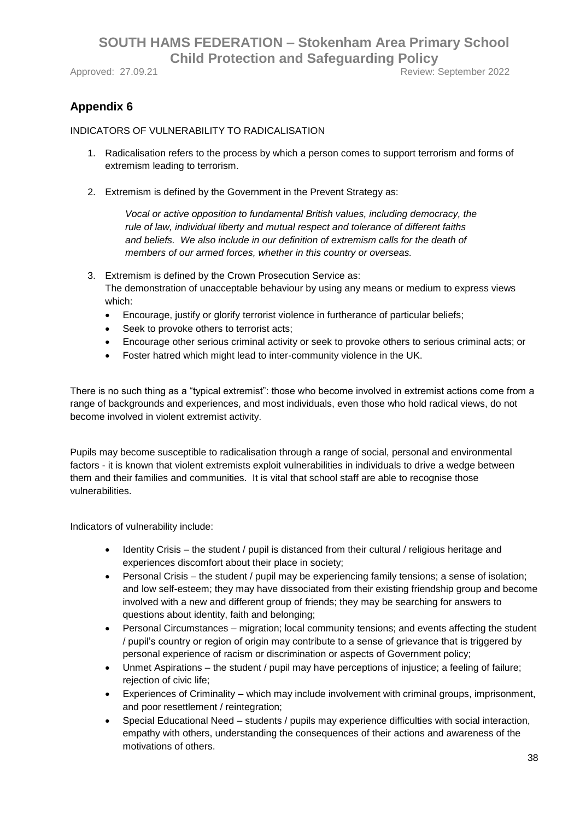Approved: 27.09.21 **Approved: 27.09.21** Review: September 2022

## **Appendix 6**

#### INDICATORS OF VULNERABILITY TO RADICALISATION

- 1. Radicalisation refers to the process by which a person comes to support terrorism and forms of extremism leading to terrorism.
- 2. Extremism is defined by the Government in the Prevent Strategy as:

*Vocal or active opposition to fundamental British values, including democracy, the rule of law, individual liberty and mutual respect and tolerance of different faiths and beliefs. We also include in our definition of extremism calls for the death of members of our armed forces, whether in this country or overseas.*

- 3. Extremism is defined by the Crown Prosecution Service as: The demonstration of unacceptable behaviour by using any means or medium to express views which:
	- Encourage, justify or glorify terrorist violence in furtherance of particular beliefs;
	- Seek to provoke others to terrorist acts;
	- Encourage other serious criminal activity or seek to provoke others to serious criminal acts; or
	- Foster hatred which might lead to inter-community violence in the UK.

There is no such thing as a "typical extremist": those who become involved in extremist actions come from a range of backgrounds and experiences, and most individuals, even those who hold radical views, do not become involved in violent extremist activity.

Pupils may become susceptible to radicalisation through a range of social, personal and environmental factors - it is known that violent extremists exploit vulnerabilities in individuals to drive a wedge between them and their families and communities. It is vital that school staff are able to recognise those vulnerabilities.

Indicators of vulnerability include:

- Identity Crisis the student / pupil is distanced from their cultural / religious heritage and experiences discomfort about their place in society;
- Personal Crisis the student / pupil may be experiencing family tensions; a sense of isolation; and low self-esteem; they may have dissociated from their existing friendship group and become involved with a new and different group of friends; they may be searching for answers to questions about identity, faith and belonging;
- Personal Circumstances migration; local community tensions; and events affecting the student / pupil's country or region of origin may contribute to a sense of grievance that is triggered by personal experience of racism or discrimination or aspects of Government policy;
- Unmet Aspirations the student / pupil may have perceptions of injustice; a feeling of failure; rejection of civic life;
- Experiences of Criminality which may include involvement with criminal groups, imprisonment, and poor resettlement / reintegration;
- Special Educational Need students / pupils may experience difficulties with social interaction, empathy with others, understanding the consequences of their actions and awareness of the motivations of others.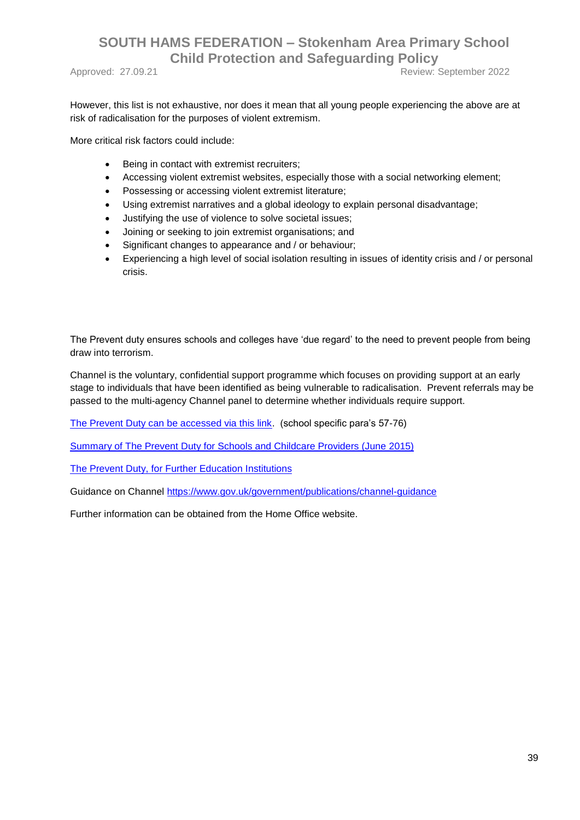Approved: 27.09.21 **Approved: 27.09.21** Review: September 2022

However, this list is not exhaustive, nor does it mean that all young people experiencing the above are at risk of radicalisation for the purposes of violent extremism.

More critical risk factors could include:

- Being in contact with extremist recruiters;
- Accessing violent extremist websites, especially those with a social networking element;
- Possessing or accessing violent extremist literature;
- Using extremist narratives and a global ideology to explain personal disadvantage;
- Justifying the use of violence to solve societal issues;
- Joining or seeking to join extremist organisations; and
- Significant changes to appearance and / or behaviour;
- Experiencing a high level of social isolation resulting in issues of identity crisis and / or personal crisis.

The Prevent duty ensures schools and colleges have 'due regard' to the need to prevent people from being draw into terrorism.

Channel is the voluntary, confidential support programme which focuses on providing support at an early stage to individuals that have been identified as being vulnerable to radicalisation. Prevent referrals may be passed to the multi-agency Channel panel to determine whether individuals require support.

[The Prevent Duty can be accessed via this link.](https://www.gov.uk/government/uploads/system/uploads/attachment_data/file/445977/3799_Revised_Prevent_Duty_Guidance__England_Wales_V2-Interactive.pdf) (school specific para's 57-76)

[Summary of The Prevent Duty for Schools and Childcare Providers \(June 2015\)](https://assets.publishing.service.gov.uk/government/uploads/system/uploads/attachment_data/file/439598/prevent-duty-departmental-advice-v6.pdf) 

[The Prevent Duty, for Further Education Institutions](https://www.gov.uk/government/publications/prevent-duty-guidance/prevent-duty-guidance-for-further-education-institutions-in-england-and-wales)

Guidance on Channel<https://www.gov.uk/government/publications/channel-guidance>

Further information can be obtained from the Home Office website.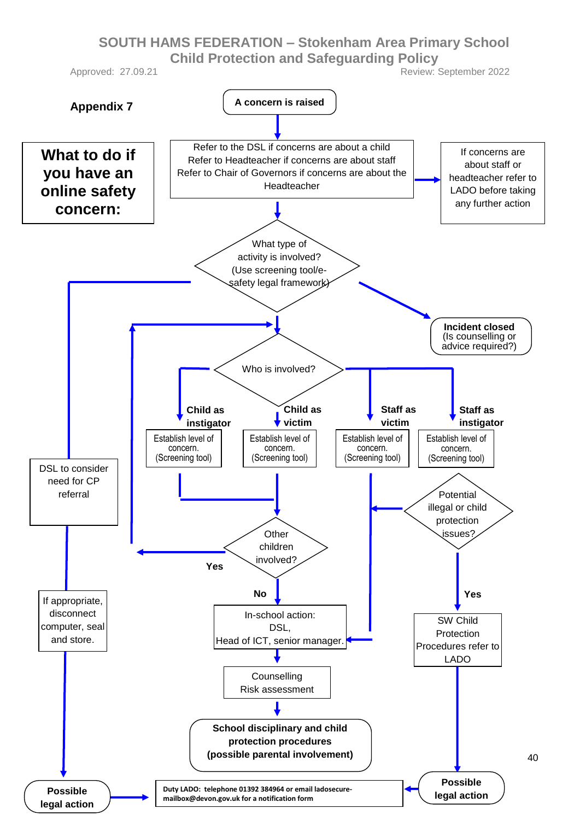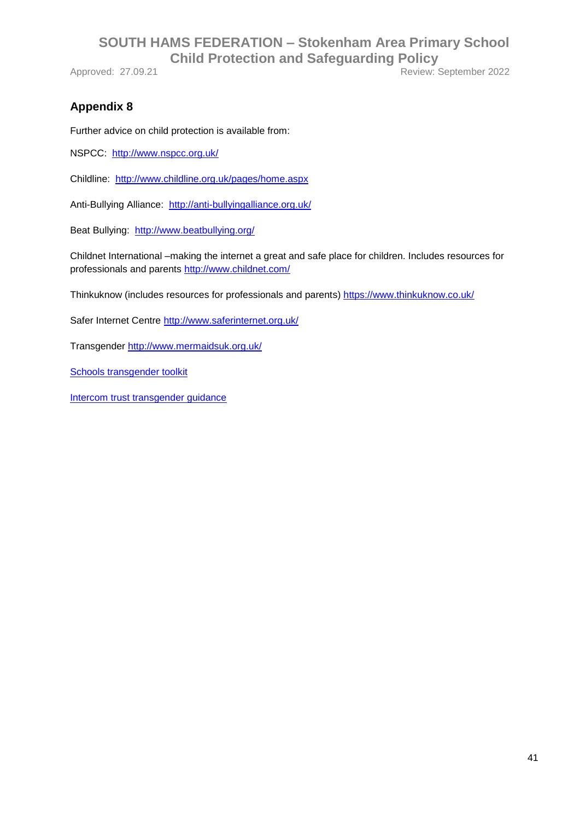Approved: 27.09.21 Review: September 2022

#### **Appendix 8**

Further advice on child protection is available from:

NSPCC: <http://www.nspcc.org.uk/>

Childline: <http://www.childline.org.uk/pages/home.aspx>

Anti-Bullying Alliance: <http://anti-bullyingalliance.org.uk/>

Beat Bullying: <http://www.beatbullying.org/>

Childnet International –making the internet a great and safe place for children. Includes resources for professionals and parents<http://www.childnet.com/>

Thinkuknow (includes resources for professionals and parents)<https://www.thinkuknow.co.uk/>

Safer Internet Centre<http://www.saferinternet.org.uk/>

Transgender<http://www.mermaidsuk.org.uk/>

[Schools transgender toolkit](http://www.mermaidsuk.org.uk/assets/media/East%20Sussex%20schools%20transgender%20toolkit.pdf)

[Intercom trust transgender guidance](https://www.intercomtrust.org.uk/item/55-schools-transgender-guidance-july-2015)